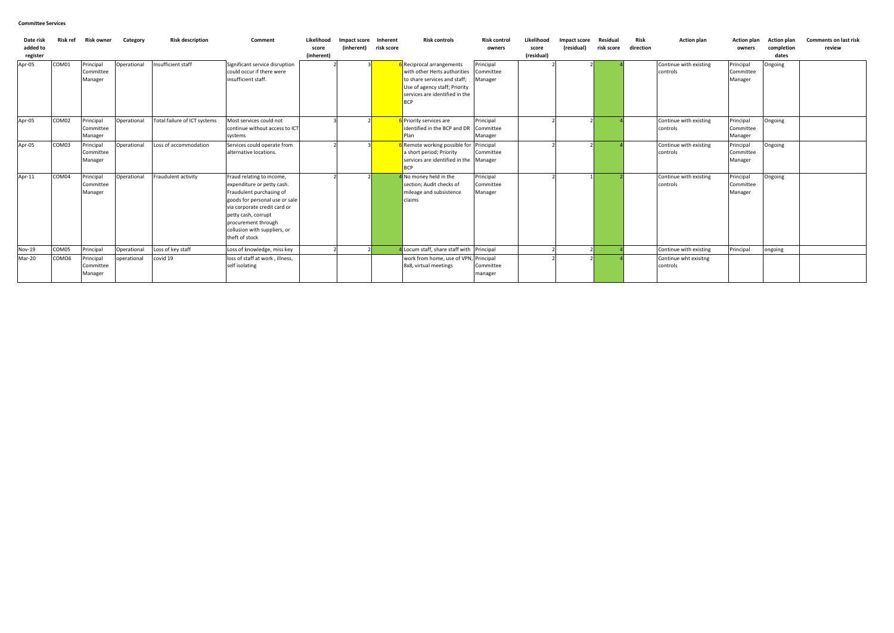| Date risk<br>added to<br>register | <b>Risk ref</b>   | Risk owner                        | Category    | <b>Risk description</b>      | Comment                                                                                                                                                                                                                                               | Likelihood<br>score<br>(inherent) | Impact score<br>(inherent) | Inherent<br>risk score | <b>Risk controls</b>                                                                                                                                                     | <b>Risk control</b><br>owners     | Likelihood<br>score<br>(residual) | Impact score<br>(residual) | Residual<br>risk score | Risk<br>direction | <b>Action plan</b>                 | <b>Action plan</b><br>owners      | <b>Action plan</b><br>completion<br>dates | <b>Comments on last risk</b><br>review |
|-----------------------------------|-------------------|-----------------------------------|-------------|------------------------------|-------------------------------------------------------------------------------------------------------------------------------------------------------------------------------------------------------------------------------------------------------|-----------------------------------|----------------------------|------------------------|--------------------------------------------------------------------------------------------------------------------------------------------------------------------------|-----------------------------------|-----------------------------------|----------------------------|------------------------|-------------------|------------------------------------|-----------------------------------|-------------------------------------------|----------------------------------------|
| Apr-05                            | COM01             | Principal<br>Committee<br>Manager | Operational | Insufficient staff           | Significant service disruption<br>could occur if there were<br>insufficient staff.                                                                                                                                                                    |                                   |                            |                        | Reciprocal arrangements<br>with other Herts authorities<br>to share services and staff;<br>Use of agency staff; Priority<br>services are identified in the<br><b>BCP</b> | Principal<br>Committee<br>Manager |                                   |                            |                        |                   | Continue with existing<br>controls | Principal<br>Committee<br>Manager | Ongoing                                   |                                        |
| Apr-05                            | COM02             | Principal<br>Committee<br>Manager | Operational | Total failure of ICT systems | Most services could not<br>continue without access to ICT<br>systems                                                                                                                                                                                  |                                   |                            |                        | 6 Priority services are<br>identified in the BCP and DR<br>Plan                                                                                                          | Principal<br>Committee<br>Manager |                                   |                            |                        |                   | Continue with existing<br>controls | Principal<br>Committee<br>Manager | Ongoing                                   |                                        |
| Apr-05                            | COM03             | Principal<br>Committee<br>Manager | Operational | Loss of accommodation        | Services could operate from<br>alternative locations.                                                                                                                                                                                                 |                                   |                            |                        | Remote working possible for Principal<br>a short period; Priority<br>services are identified in the Manager<br>BCP                                                       | Committee                         |                                   |                            |                        |                   | Continue with existing<br>controls | Principal<br>Committee<br>Manager | Ongoing                                   |                                        |
| Apr-11                            | COM04             | Principal<br>Committee<br>Manager | Operational | Fraudulent activity          | Fraud relating to income,<br>expenditure or petty cash.<br>Fraudulent purchasing of<br>goods for personal use or sale<br>via corporate credit card or<br>petty cash, corrupt<br>procurement through<br>collusion with suppliers, or<br>theft of stock |                                   |                            |                        | I No money held in the<br>section; Audit checks of<br>mileage and subsistence<br>claims                                                                                  | Principal<br>Committee<br>Manager |                                   |                            |                        |                   | Continue with existing<br>controls | Principal<br>Committee<br>Manager | Ongoing                                   |                                        |
| <b>Nov-19</b>                     | COM05             | Principal                         | Operational | Loss of key staff            | Loss of knowledge, miss key                                                                                                                                                                                                                           |                                   |                            |                        | Locum staff, share staff with Principal                                                                                                                                  |                                   |                                   |                            |                        |                   | Continue with existing             | Principal                         | ongoing                                   |                                        |
| Mar-20                            | COMO <sub>6</sub> | Principal<br>Committee<br>Manager | operational | covid 19                     | loss of staff at work, illness,<br>self isolating                                                                                                                                                                                                     |                                   |                            |                        | work from home, use of VPN, Principal<br>8x8, virtual meetings                                                                                                           | Committee<br>manager              |                                   |                            |                        |                   | Continue wht exisitng<br>controls  |                                   |                                           |                                        |

### **Committee Services**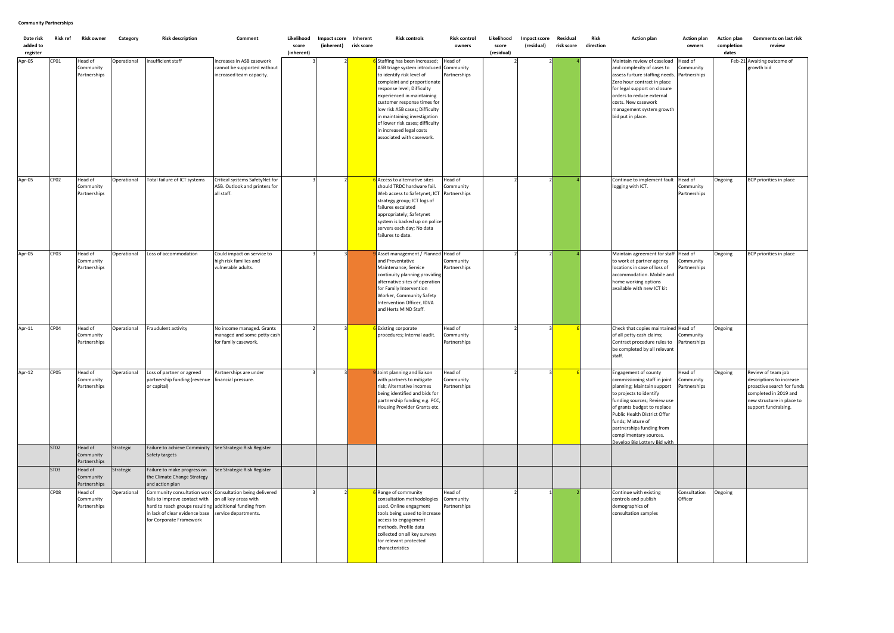| Date risk<br>added to<br>register | Risk ref | Risk owner                           | Category    | <b>Risk description</b>                                                                                                                                                                                          | Comment                                                                              | Likelihood<br>score<br>(inherent) | Impact score Inherent<br>(inherent) | risk score | <b>Risk controls</b>                                                                                                                                                                                                                                                                                                                                                                                 | Risk control<br>owners               | Likelihood<br>score<br>(residual) | Impact score<br>(residual) | Residual<br>risk score | Risk<br>direction | <b>Action plan</b>                                                                                                                                                                                                                                                                                                      | <b>Action plan</b><br>owners         | <b>Action plan</b><br>completion<br>dates | <b>Comments on last risk</b><br>review                                                                                                                     |
|-----------------------------------|----------|--------------------------------------|-------------|------------------------------------------------------------------------------------------------------------------------------------------------------------------------------------------------------------------|--------------------------------------------------------------------------------------|-----------------------------------|-------------------------------------|------------|------------------------------------------------------------------------------------------------------------------------------------------------------------------------------------------------------------------------------------------------------------------------------------------------------------------------------------------------------------------------------------------------------|--------------------------------------|-----------------------------------|----------------------------|------------------------|-------------------|-------------------------------------------------------------------------------------------------------------------------------------------------------------------------------------------------------------------------------------------------------------------------------------------------------------------------|--------------------------------------|-------------------------------------------|------------------------------------------------------------------------------------------------------------------------------------------------------------|
| Apr-05                            | CP01     | Head of<br>Community<br>Partnerships | Operational | Insufficient staff                                                                                                                                                                                               | Increases in ASB casework<br>cannot be supported without<br>increased team capacity. |                                   |                                     |            | <b>6</b> Staffing has been increased;<br>ASB triage system introduced Community<br>to identify risk level of<br>complaint and proportionate<br>response level; Difficulty<br>experienced in maintaining<br>customer response times for<br>low risk ASB cases; Difficulty<br>in maintaining investigation<br>of lower risk cases; difficulty<br>in increased legal costs<br>associated with casework. | Head of<br>Partnerships              |                                   |                            |                        |                   | Maintain review of caseload<br>and complexity of cases to<br>assess furture staffing needs. Partnerships<br>Zero hour contract in place<br>for legal support on closure<br>orders to reduce external<br>costs. New casework<br>management system growth<br>bid put in place.                                            | Head of<br>Community                 |                                           | Feb-21 Awaiting outcome of<br>growth bid                                                                                                                   |
| Apr-05                            | CP02     | Head of<br>Community<br>Partnerships | Operational | Total failure of ICT systems                                                                                                                                                                                     | Critical systems SafetyNet for<br>ASB. Outlook and printers for<br>all staff.        |                                   |                                     |            | <b>S</b> Access to alternative sites<br>should TRDC hardware fail.<br>Web access to Safetynet; ICT Partnerships<br>strategy group; ICT logs of<br>failures escalated<br>appropriately; Safetynet<br>system is backed up on police<br>servers each day; No data<br>failures to date.                                                                                                                  | Head of<br>Community                 |                                   |                            |                        |                   | Continue to implement fault<br>logging with ICT.                                                                                                                                                                                                                                                                        | Head of<br>Community<br>Partnerships | Ongoing                                   | BCP priorities in place                                                                                                                                    |
| Apr-05                            | CP03     | Head of<br>Community<br>Partnerships | Operational | Loss of accommodation                                                                                                                                                                                            | Could impact on service to<br>high risk families and<br>vulnerable adults.           |                                   |                                     |            | Asset management / Planned Head of<br>and Preventative<br>Maintenance; Service<br>continuity planning providing<br>alternative sites of operation<br>for Family Intervention<br>Worker, Community Safety<br>Intervention Officer, IDVA<br>and Herts MIND Staff.                                                                                                                                      | Community<br>Partnerships            |                                   |                            |                        |                   | Maintain agreement for staff<br>to work at partner agency<br>locations in case of loss of<br>accommodation. Mobile and<br>home working options<br>available with new ICT kit                                                                                                                                            | Head of<br>Community<br>Partnerships | Ongoing                                   | BCP priorities in place                                                                                                                                    |
| Apr-11                            | CP04     | Head of<br>Community<br>Partnerships | Operational | Fraudulent activity                                                                                                                                                                                              | No income managed. Grants<br>managed and some petty cash<br>for family casework.     |                                   |                                     |            | Existing corporate<br>procedures; Internal audit.                                                                                                                                                                                                                                                                                                                                                    | Head of<br>Community<br>Partnerships |                                   |                            |                        |                   | Check that copies maintained Head of<br>of all petty cash claims;<br>Contract procedure rules to<br>be completed by all relevant<br>staff.                                                                                                                                                                              | Community<br>Partnerships            | Ongoing                                   |                                                                                                                                                            |
| Apr-12                            | CP05     | Head of<br>Community<br>Partnerships | Operational | Loss of partner or agreed<br>partnership funding (revenue<br>or capital)                                                                                                                                         | Partnerships are under<br>financial pressure.                                        |                                   |                                     |            | <b>9</b> Joint planning and liaison<br>with partners to mitigate<br>risk; Alternative incomes<br>being identified and bids for<br>partnership funding e.g. PCC,<br>Housing Provider Grants etc.                                                                                                                                                                                                      | Head of<br>Community<br>Partnerships |                                   |                            |                        |                   | Engagement of county<br>commissioning staff in joint<br>planning; Maintain support<br>to projects to identify<br>funding sources; Review use<br>of grants budget to replace<br>Public Health District Offer<br>funds; Mixture of<br>partnerships funding from<br>complimentary sources.<br>Develop Big Lottery Bid with | Head of<br>Community<br>Partnerships | Ongoing                                   | Review of team job<br>descriptions to increase<br>proactive search for funds<br>completed in 2019 and<br>new structure in place to<br>support fundraising. |
|                                   | ST02     | Head of<br>Community<br>Partnerships | Strategic   | Failure to achieve Comminity See Strategic Risk Register<br>Safety targets                                                                                                                                       |                                                                                      |                                   |                                     |            |                                                                                                                                                                                                                                                                                                                                                                                                      |                                      |                                   |                            |                        |                   |                                                                                                                                                                                                                                                                                                                         |                                      |                                           |                                                                                                                                                            |
|                                   | ST03     | Head of<br>Community<br>Partnerships | Strategic   | Failure to make progress on<br>the Climate Change Strategy<br>and action plan                                                                                                                                    | See Strategic Risk Register                                                          |                                   |                                     |            |                                                                                                                                                                                                                                                                                                                                                                                                      |                                      |                                   |                            |                        |                   |                                                                                                                                                                                                                                                                                                                         |                                      |                                           |                                                                                                                                                            |
|                                   | CP08     | Head of<br>Community<br>Partnerships | Operational | Community consultation work Consultation being delivered<br>fails to improve contact with<br>hard to reach groups resulting additional funding from<br>in lack of clear evidence base<br>for Corporate Framework | on all key areas with<br>service departments.                                        |                                   |                                     |            | Range of community<br>consultation methodologies<br>used. Online engagment<br>tools being useed to increase<br>access to engagement<br>methods. Profile data<br>collected on all key surveys<br>for relevant protected<br>characteristics                                                                                                                                                            | Head of<br>Community<br>Partnerships |                                   |                            |                        |                   | Continue with existing<br>controls and publish<br>demographics of<br>consultation samples                                                                                                                                                                                                                               | Consultation<br>Officer              | Ongoing                                   |                                                                                                                                                            |

# **Community Partnerships**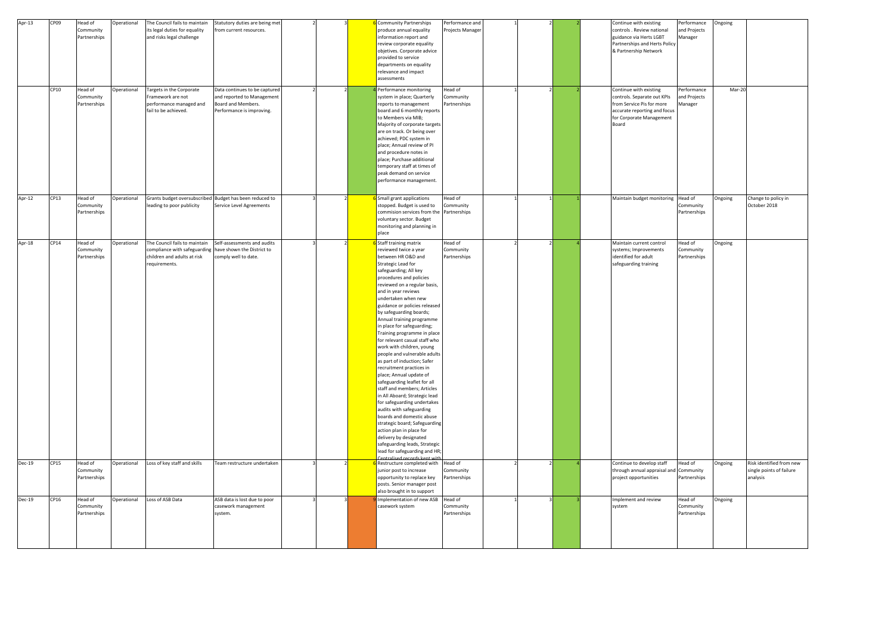| Apr-13        | CP09 | Head of      | Operational | The Council fails to maintain                           | Statutory duties are being met |  | 6 Community Partnerships                                      | Performance and  |  | Continue with existing        | Performance  | Ongoing |                                     |
|---------------|------|--------------|-------------|---------------------------------------------------------|--------------------------------|--|---------------------------------------------------------------|------------------|--|-------------------------------|--------------|---------|-------------------------------------|
|               |      | Community    |             | its legal duties for equality                           | from current resources.        |  | produce annual equality                                       | Projects Manager |  | controls . Review national    | and Projects |         |                                     |
|               |      | Partnerships |             | and risks legal challenge                               |                                |  | information report and                                        |                  |  | guidance via Herts LGBT       | Manager      |         |                                     |
|               |      |              |             |                                                         |                                |  | review corporate equality                                     |                  |  | Partnerships and Herts Policy |              |         |                                     |
|               |      |              |             |                                                         |                                |  | objetives. Corporate advice                                   |                  |  | & Partnership Network         |              |         |                                     |
|               |      |              |             |                                                         |                                |  | provided to service                                           |                  |  |                               |              |         |                                     |
|               |      |              |             |                                                         |                                |  | departments on equality                                       |                  |  |                               |              |         |                                     |
|               |      |              |             |                                                         |                                |  | relevance and impact                                          |                  |  |                               |              |         |                                     |
|               |      |              |             |                                                         |                                |  | assessments                                                   |                  |  |                               |              |         |                                     |
|               |      |              |             |                                                         |                                |  |                                                               |                  |  |                               |              |         |                                     |
|               | CP10 | Head of      | Operational | Targets in the Corporate                                | Data continues to be captured  |  | 4 Performance monitoring                                      | Head of          |  | Continue with existing        | Performance  | Mar-20  |                                     |
|               |      | Community    |             | Framework are not                                       | and reported to Management     |  | system in place; Quarterly                                    | Community        |  | controls. Separate out KPIs   | and Projects |         |                                     |
|               |      | Partnerships |             | performance managed and                                 | Board and Members.             |  | reports to management                                         | Partnerships     |  | from Service Pis for more     | Manager      |         |                                     |
|               |      |              |             | fail to be achieved.                                    | Performance is improving.      |  | board and 6 monthly reports                                   |                  |  | accurate reporting and focus  |              |         |                                     |
|               |      |              |             |                                                         |                                |  | to Members via MIB;                                           |                  |  | for Corporate Management      |              |         |                                     |
|               |      |              |             |                                                         |                                |  | Majority of corporate targets                                 |                  |  | Board                         |              |         |                                     |
|               |      |              |             |                                                         |                                |  | are on track. Or being over                                   |                  |  |                               |              |         |                                     |
|               |      |              |             |                                                         |                                |  | achieved; PDC system in                                       |                  |  |                               |              |         |                                     |
|               |      |              |             |                                                         |                                |  | place; Annual review of PI                                    |                  |  |                               |              |         |                                     |
|               |      |              |             |                                                         |                                |  | and procedure notes in                                        |                  |  |                               |              |         |                                     |
|               |      |              |             |                                                         |                                |  | place; Purchase additional                                    |                  |  |                               |              |         |                                     |
|               |      |              |             |                                                         |                                |  | temporary staff at times of                                   |                  |  |                               |              |         |                                     |
|               |      |              |             |                                                         |                                |  | peak demand on service                                        |                  |  |                               |              |         |                                     |
|               |      |              |             |                                                         |                                |  | performance management.                                       |                  |  |                               |              |         |                                     |
|               |      |              |             |                                                         |                                |  |                                                               |                  |  |                               |              |         |                                     |
| Apr-12        | CP13 | Head of      |             | Grants budget oversubscribed Budget has been reduced to |                                |  | 6 Small grant applications                                    | Head of          |  | Maintain budget monitoring    | Head of      |         |                                     |
|               |      | Community    | Operational | leading to poor publicity                               | Service Level Agreements       |  | stopped. Budget is used to                                    | Community        |  |                               | Community    | Ongoing | Change to policy in<br>October 2018 |
|               |      | Partnerships |             |                                                         |                                |  | commision services from the Partnerships                      |                  |  |                               | Partnerships |         |                                     |
|               |      |              |             |                                                         |                                |  | voluntary sector. Budget                                      |                  |  |                               |              |         |                                     |
|               |      |              |             |                                                         |                                |  | monitoring and planning in                                    |                  |  |                               |              |         |                                     |
|               |      |              |             |                                                         |                                |  | place                                                         |                  |  |                               |              |         |                                     |
|               |      |              |             |                                                         |                                |  |                                                               |                  |  |                               |              |         |                                     |
| Apr-18        | CP14 | Head of      | Operational | The Council fails to maintain                           | Self-assessments and audits    |  | 6 Staff training matrix                                       | Head of          |  | Maintain current control      | Head of      | Ongoing |                                     |
|               |      | Community    |             | compliance with safeguarding have shown the District to |                                |  | reviewed twice a year                                         | Community        |  | systems; Improvements         | Community    |         |                                     |
|               |      | Partnerships |             | children and adults at risk                             | comply well to date.           |  | between HR O&D and                                            | Partnerships     |  | identified for adult          | Partnerships |         |                                     |
|               |      |              |             | requirements.                                           |                                |  | Strategic Lead for                                            |                  |  | safeguarding training         |              |         |                                     |
|               |      |              |             |                                                         |                                |  | safeguarding; All key                                         |                  |  |                               |              |         |                                     |
|               |      |              |             |                                                         |                                |  | procedures and policies                                       |                  |  |                               |              |         |                                     |
|               |      |              |             |                                                         |                                |  | reviewed on a regular basis,                                  |                  |  |                               |              |         |                                     |
|               |      |              |             |                                                         |                                |  | and in year reviews                                           |                  |  |                               |              |         |                                     |
|               |      |              |             |                                                         |                                |  | undertaken when new                                           |                  |  |                               |              |         |                                     |
|               |      |              |             |                                                         |                                |  | guidance or policies released                                 |                  |  |                               |              |         |                                     |
|               |      |              |             |                                                         |                                |  | by safeguarding boards;                                       |                  |  |                               |              |         |                                     |
|               |      |              |             |                                                         |                                |  | Annual training programme                                     |                  |  |                               |              |         |                                     |
|               |      |              |             |                                                         |                                |  | in place for safeguarding;                                    |                  |  |                               |              |         |                                     |
|               |      |              |             |                                                         |                                |  | Training programme in place                                   |                  |  |                               |              |         |                                     |
|               |      |              |             |                                                         |                                |  | for relevant casual staff who                                 |                  |  |                               |              |         |                                     |
|               |      |              |             |                                                         |                                |  | work with children, young                                     |                  |  |                               |              |         |                                     |
|               |      |              |             |                                                         |                                |  | people and vulnerable adults                                  |                  |  |                               |              |         |                                     |
|               |      |              |             |                                                         |                                |  | as part of induction; Safer                                   |                  |  |                               |              |         |                                     |
|               |      |              |             |                                                         |                                |  | recruitment practices in                                      |                  |  |                               |              |         |                                     |
|               |      |              |             |                                                         |                                |  | place; Annual update of                                       |                  |  |                               |              |         |                                     |
|               |      |              |             |                                                         |                                |  | safeguarding leaflet for all                                  |                  |  |                               |              |         |                                     |
|               |      |              |             |                                                         |                                |  | staff and members; Articles                                   |                  |  |                               |              |         |                                     |
|               |      |              |             |                                                         |                                |  | in All Aboard; Strategic lead                                 |                  |  |                               |              |         |                                     |
|               |      |              |             |                                                         |                                |  | for safeguarding undertakes                                   |                  |  |                               |              |         |                                     |
|               |      |              |             |                                                         |                                |  | audits with safeguarding                                      |                  |  |                               |              |         |                                     |
|               |      |              |             |                                                         |                                |  | boards and domestic abuse                                     |                  |  |                               |              |         |                                     |
|               |      |              |             |                                                         |                                |  | strategic board; Safeguarding                                 |                  |  |                               |              |         |                                     |
|               |      |              |             |                                                         |                                |  | action plan in place for                                      |                  |  |                               |              |         |                                     |
|               |      |              |             |                                                         |                                |  | delivery by designated                                        |                  |  |                               |              |         |                                     |
|               |      |              |             |                                                         |                                |  | safeguarding leads, Strategic                                 |                  |  |                               |              |         |                                     |
|               |      |              |             |                                                         |                                |  | lead for safeguarding and HR;<br>Centralised records kent wit |                  |  |                               |              |         |                                     |
| <b>Dec-19</b> | CP15 | Head of      | Operational | Loss of key staff and skills                            | Team restructure undertaken    |  | 6 Restructure completed with                                  | Head of          |  | Continue to develop staff     | Head of      | Ongoing | Risk identified from new            |
|               |      | Community    |             |                                                         |                                |  | junior post to increase                                       | Community        |  | through annual appraisal and  | Community    |         | single points of failure            |
|               |      | Partnerships |             |                                                         |                                |  | opportunity to replace key                                    | Partnerships     |  | project opportunities         | Partnerships |         | analysis                            |
|               |      |              |             |                                                         |                                |  | posts. Senior manager post                                    |                  |  |                               |              |         |                                     |
|               |      |              |             |                                                         |                                |  | also brought in to support                                    |                  |  |                               |              |         |                                     |
| Dec-19        | CP16 | Head of      | Operational | Loss of ASB Data                                        | ASB data is lost due to poor   |  | Implementation of new ASB                                     | Head of          |  | Implement and review          | Head of      | Ongoing |                                     |
|               |      | Community    |             |                                                         | casework management            |  | casework system                                               | Community        |  | system                        | Community    |         |                                     |
|               |      | Partnerships |             |                                                         | system.                        |  |                                                               | Partnerships     |  |                               | Partnerships |         |                                     |
|               |      |              |             |                                                         |                                |  |                                                               |                  |  |                               |              |         |                                     |
|               |      |              |             |                                                         |                                |  |                                                               |                  |  |                               |              |         |                                     |
|               |      |              |             |                                                         |                                |  |                                                               |                  |  |                               |              |         |                                     |
|               |      |              |             |                                                         |                                |  |                                                               |                  |  |                               |              |         |                                     |
|               |      |              |             |                                                         |                                |  |                                                               |                  |  |                               |              |         |                                     |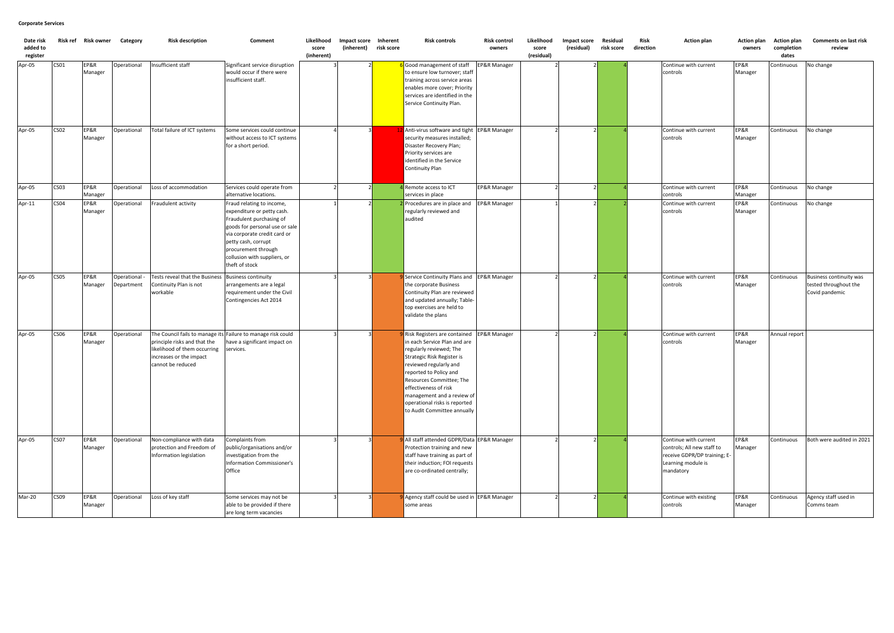| Date risk<br>added to<br>register |                  | Risk ref Risk owner Category |                             | <b>Risk description</b>                                                                                                                                                      | Comment                                                                                                                                                                                                                                               | Likelihood<br>score<br>(inherent) | Impact score<br>(inherent) | Inherent<br>risk score | <b>Risk controls</b>                                                                                                                                                                                                                                                                                                                        | <b>Risk control</b><br>owners | Likelihood<br>score<br>(residual) | Impact score<br>(residual) | Residual<br>risk score | Risk<br>direction | <b>Action plan</b>                                                                                                     | Action plan<br>owners      | <b>Action plan</b><br>completion<br>dates | <b>Comments on last risk</b><br>review                                    |
|-----------------------------------|------------------|------------------------------|-----------------------------|------------------------------------------------------------------------------------------------------------------------------------------------------------------------------|-------------------------------------------------------------------------------------------------------------------------------------------------------------------------------------------------------------------------------------------------------|-----------------------------------|----------------------------|------------------------|---------------------------------------------------------------------------------------------------------------------------------------------------------------------------------------------------------------------------------------------------------------------------------------------------------------------------------------------|-------------------------------|-----------------------------------|----------------------------|------------------------|-------------------|------------------------------------------------------------------------------------------------------------------------|----------------------------|-------------------------------------------|---------------------------------------------------------------------------|
| Apr-05                            | CS <sub>01</sub> | EP&R<br>Manager              | Operational                 | Insufficient staff                                                                                                                                                           | Significant service disruption<br>would occur if there were<br>insufficient staff.                                                                                                                                                                    |                                   |                            |                        | Good management of staff<br>to ensure low turnover; staff<br>raining across service areas<br>enables more cover; Priority<br>services are identified in the<br>Service Continuity Plan.                                                                                                                                                     | <b>EP&amp;R Manager</b>       |                                   |                            |                        |                   | Continue with current<br>controls                                                                                      | EP&R<br>Manager            | Continuous                                | No change                                                                 |
| Apr-05                            | <b>CS02</b>      | EP&R<br>Manager              | Operational                 | Total failure of ICT systems                                                                                                                                                 | Some services could continue<br>without access to ICT systems<br>for a short period.                                                                                                                                                                  |                                   |                            |                        | Anti-virus software and tight EP&R Manager<br>security measures installed;<br>Disaster Recovery Plan;<br>Priority services are<br>identified in the Service<br><b>Continuity Plan</b>                                                                                                                                                       |                               |                                   |                            |                        |                   | Continue with current<br>controls                                                                                      | EP&R<br>Manager            | Continuous                                | No change                                                                 |
| Apr-05                            | CSO <sub>3</sub> | EP&R<br>Manager              | Operational                 | Loss of accommodation                                                                                                                                                        | Services could operate from<br>alternative locations.                                                                                                                                                                                                 |                                   |                            |                        | Remote access to ICT<br>services in place                                                                                                                                                                                                                                                                                                   | <b>EP&amp;R Manager</b>       |                                   |                            |                        |                   | Continue with current<br>controls                                                                                      | EP&R<br>Manager            | Continuous                                | No change                                                                 |
| Apr-11                            | CS04             | EP&R<br>Manager              | Operational                 | Fraudulent activity                                                                                                                                                          | Fraud relating to income,<br>expenditure or petty cash.<br>Fraudulent purchasing of<br>goods for personal use or sale<br>via corporate credit card or<br>petty cash, corrupt<br>procurement through<br>collusion with suppliers, or<br>theft of stock |                                   |                            |                        | 2 Procedures are in place and<br>regularly reviewed and<br>audited                                                                                                                                                                                                                                                                          | EP&R Manager                  |                                   |                            |                        |                   | Continue with current<br>controls                                                                                      | EP&R<br>Manager            | Continuous                                | No change                                                                 |
| Apr-05                            | CS05             | EP&R<br>Manager              | Operational -<br>Department | Tests reveal that the Business<br>Continuity Plan is not<br>workable                                                                                                         | <b>Business continuity</b><br>arrangements are a legal<br>requirement under the Civil<br>Contingencies Act 2014                                                                                                                                       |                                   |                            |                        | Service Continuity Plans and EP&R Manager<br>the corporate Business<br>Continuity Plan are reviewed<br>and updated annually; Table-<br>top exercises are held to<br>validate the plans                                                                                                                                                      |                               |                                   |                            |                        |                   | Continue with current<br>controls                                                                                      | EP&R<br>Manager            | Continuous                                | <b>Business continuity was</b><br>tested throughout the<br>Covid pandemic |
| Apr-05                            | <b>CS06</b>      | EP&R<br>Manager              | Operational                 | The Council fails to manage its Failure to manage risk could<br>principle risks and that the<br>likelihood of them occurring<br>increases or the impact<br>cannot be reduced | have a significant impact on<br>services.                                                                                                                                                                                                             |                                   |                            |                        | 9 Risk Registers are contained EP&R Manager<br>in each Service Plan and are<br>regularly reviewed; The<br>Strategic Risk Register is<br>reviewed regularly and<br>reported to Policy and<br>Resources Committee; The<br>effectiveness of risk<br>management and a review of<br>operational risks is reported<br>to Audit Committee annually |                               |                                   |                            |                        |                   | Continue with current<br>controls                                                                                      | <b>EP&amp;R</b><br>Manager | Annual report                             |                                                                           |
| Apr-05                            | CS07             | EP&R<br>Manager              | Operational                 | Non-compliance with data<br>protection and Freedom of<br>Information legislation                                                                                             | Complaints from<br>public/organisations and/or<br>investigation from the<br>Information Commissioner's<br>Office                                                                                                                                      |                                   |                            |                        | 9 All staff attended GDPR/Data EP&R Manager<br>Protection training and new<br>staff have training as part of<br>their induction; FOI requests<br>are co-ordinated centrally;                                                                                                                                                                |                               |                                   |                            |                        |                   | Continue with current<br>controls; All new staff to<br>receive GDPR/DP training; E-<br>Learning module is<br>mandatory | <b>EP&amp;R</b><br>Manager | Continuous                                | Both were audited in 2021                                                 |
| Mar-20                            | CS09             | EP&R<br>Manager              | Operational                 | Loss of key staff                                                                                                                                                            | Some services may not be<br>able to be provided if there<br>are long term vacancies                                                                                                                                                                   |                                   |                            |                        | Agency staff could be used in EP&R Manager<br>some areas                                                                                                                                                                                                                                                                                    |                               |                                   |                            |                        |                   | Continue with existing<br>controls                                                                                     | <b>EP&amp;R</b><br>Manager | Continuous                                | Agency staff used in<br>Comms team                                        |

### **Corporate Services**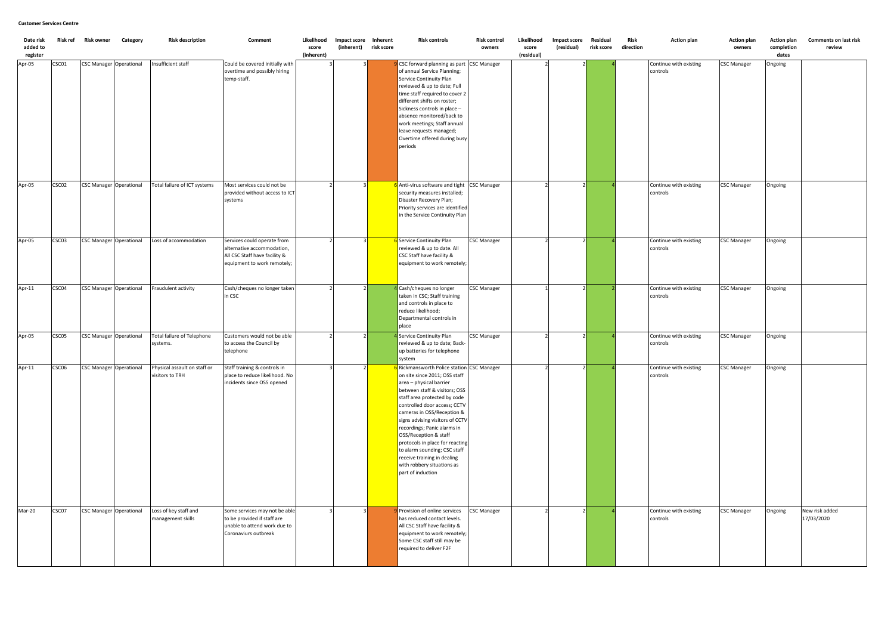| Date risk<br>added to | Risk ref | <b>Risk owner</b>              | Category | <b>Risk description</b>                         | Comment                                                                                                                   | Likelihood<br>score | Impact score Inherent<br>(inherent) | risk score | <b>Risk controls</b>                                                                                                                                                                                                                                                                                                                                                                                                                                                                  | Risk control<br>owners | Likelihood<br>score | <b>Impact score</b><br>(residual) | Residual<br>risk score | Risk<br>direction | <b>Action plan</b>                 | <b>Action plan</b><br>owners | <b>Action plan</b><br>completion | <b>Comments on last risk</b><br>review |
|-----------------------|----------|--------------------------------|----------|-------------------------------------------------|---------------------------------------------------------------------------------------------------------------------------|---------------------|-------------------------------------|------------|---------------------------------------------------------------------------------------------------------------------------------------------------------------------------------------------------------------------------------------------------------------------------------------------------------------------------------------------------------------------------------------------------------------------------------------------------------------------------------------|------------------------|---------------------|-----------------------------------|------------------------|-------------------|------------------------------------|------------------------------|----------------------------------|----------------------------------------|
| register              |          |                                |          |                                                 |                                                                                                                           | (inherent)          |                                     |            |                                                                                                                                                                                                                                                                                                                                                                                                                                                                                       |                        | (residual)          |                                   |                        |                   |                                    |                              | dates                            |                                        |
| Apr-05                | CSC01    | <b>CSC Manager Operational</b> |          | Insufficient staff                              | Could be covered initially with<br>overtime and possibly hiring<br>temp-staff.                                            |                     |                                     |            | CSC forward planning as part CSC Manager<br>of annual Service Planning;<br>Service Continuity Plan<br>reviewed & up to date; Full<br>time staff required to cover 2<br>different shifts on roster;<br>Sickness controls in place -<br>absence monitored/back to<br>work meetings; Staff annual<br>leave requests managed;<br>Overtime offered during busy<br>periods                                                                                                                  |                        |                     |                                   |                        |                   | Continue with existing<br>controls | <b>CSC Manager</b>           | Ongoing                          |                                        |
| Apr-05                | CSC02    | <b>CSC Manager Operational</b> |          | Total failure of ICT systems                    | Most services could not be<br>provided without access to ICT<br>systems                                                   |                     |                                     |            | 6 Anti-virus software and tight CSC Manager<br>security measures installed;<br>Disaster Recovery Plan;<br>Priority services are identified<br>in the Service Continuity Plan                                                                                                                                                                                                                                                                                                          |                        |                     |                                   |                        |                   | Continue with existing<br>controls | <b>CSC Manager</b>           | Ongoing                          |                                        |
| Apr-05                | CSC03    | <b>CSC Manager Operational</b> |          | Loss of accommodation                           | Services could operate from<br>alternative accommodation,<br>All CSC Staff have facility &<br>equipment to work remotely; |                     |                                     |            | 6 Service Continuity Plan<br>reviewed & up to date. All<br>CSC Staff have facility &<br>equipment to work remotely;                                                                                                                                                                                                                                                                                                                                                                   | <b>CSC Manager</b>     |                     |                                   |                        |                   | Continue with existing<br>controls | <b>CSC Manager</b>           | Ongoing                          |                                        |
| Apr-11                | CSC04    | <b>CSC Manager Operational</b> |          | Fraudulent activity                             | Cash/cheques no longer taken<br>in CSC                                                                                    |                     |                                     |            | Cash/cheques no longer<br>taken in CSC; Staff training<br>and controls in place to<br>reduce likelihood;<br>Departmental controls in<br>place                                                                                                                                                                                                                                                                                                                                         | <b>CSC Manager</b>     |                     |                                   |                        |                   | Continue with existing<br>controls | <b>CSC Manager</b>           | Ongoing                          |                                        |
| Apr-05                | CSC05    | <b>CSC Manager Operational</b> |          | Total failure of Telephone<br>systems.          | Customers would not be able<br>to access the Council by<br>telephone                                                      |                     |                                     |            | 4 Service Continuity Plan<br>reviewed & up to date; Back-<br>up batteries for telephone<br>system                                                                                                                                                                                                                                                                                                                                                                                     | <b>CSC Manager</b>     |                     |                                   |                        |                   | Continue with existing<br>controls | <b>CSC Manager</b>           | Ongoing                          |                                        |
| Apr-11                | CSC06    | <b>CSC Manager Operational</b> |          | Physical assault on staff or<br>visitors to TRH | Staff training & controls in<br>place to reduce likelihood. No<br>incidents since OSS opened                              |                     | $\overline{2}$<br>3                 |            | 6 Rickmansworth Police station CSC Manager<br>on site since 2011; OSS staff<br>area - physical barrier<br>between staff & visitors; OSS<br>staff area protected by code<br>controlled door access; CCTV<br>cameras in OSS/Reception &<br>signs advising visitors of CCTV<br>recordings; Panic alarms in<br>OSS/Reception & staff<br>protocols in place for reacting<br>to alarm sounding; CSC staff<br>receive training in dealing<br>with robbery situations as<br>part of induction |                        |                     |                                   |                        |                   | Continue with existing<br>controls | <b>CSC Manager</b>           | Ongoing                          |                                        |
| Mar-20                | CSC07    | <b>CSC Manager Operational</b> |          | Loss of key staff and<br>management skills      | Some services may not be able<br>to be provided if staff are<br>unable to attend work due to<br>Coronaviurs outbreak      |                     |                                     |            | Provision of online services<br>has reduced contact levels.<br>All CSC Staff have facility &<br>equipment to work remotely;<br>Some CSC staff still may be<br>required to deliver F2F                                                                                                                                                                                                                                                                                                 | <b>CSC Manager</b>     |                     |                                   |                        |                   | Continue with existing<br>controls | <b>CSC Manager</b>           | Ongoing                          | New risk added<br>17/03/2020           |

### **Customer Services Centre**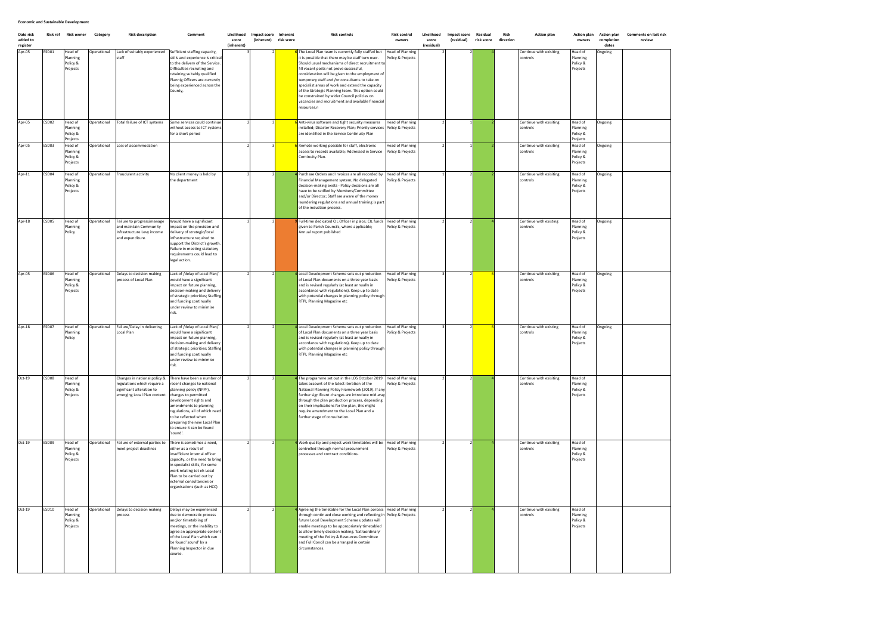| Date risk<br>added to<br>register | Risk ref | Risk owner                                  | Category    | <b>Risk description</b>                                                                                                  | Comment                                                                                                                                                                                                                                                                                             | Likelihood<br>score<br>(inherent) | Impact score Inherent<br>(inherent) risk score | <b>Risk controls</b>                                                                                                                                                                                                                                                                                                                                                                                                                                                                                                                     | Risk control<br>owners                       | Likelihood<br>score<br>(residual) | Impact score<br>(residual) | Residual<br>risk score | Risk<br>direction | <b>Action plan</b>                  | <b>Action plan</b><br>owners                | <b>Action plan</b><br>completion<br>dates | <b>Comments on last risk</b><br>review |
|-----------------------------------|----------|---------------------------------------------|-------------|--------------------------------------------------------------------------------------------------------------------------|-----------------------------------------------------------------------------------------------------------------------------------------------------------------------------------------------------------------------------------------------------------------------------------------------------|-----------------------------------|------------------------------------------------|------------------------------------------------------------------------------------------------------------------------------------------------------------------------------------------------------------------------------------------------------------------------------------------------------------------------------------------------------------------------------------------------------------------------------------------------------------------------------------------------------------------------------------------|----------------------------------------------|-----------------------------------|----------------------------|------------------------|-------------------|-------------------------------------|---------------------------------------------|-------------------------------------------|----------------------------------------|
| Apr-05                            | ESD01    | Head of<br>Planning<br>Policy &<br>Projects | Operational | Lack of suitably experienced<br>staff                                                                                    | Sufficient staffing capacity,<br>skills and experience is critical<br>to the delivery of the Service.<br>Difficulties recruiting and<br>retaining suitably qualified<br>Plannig Officers are currently<br>being experienced across the<br>County,                                                   |                                   |                                                | The Local Plan team is currently fully staffed but<br>it is possible that there may be staff turn over.<br>Should usual mechanisms of direct recruitment to<br>fill vacant posts not prove successful,<br>consideration will be given to the employment of<br>temporary staff and /or consultants to take on<br>specialist areas of work and extend the capacity<br>of the Strategic Planning team. This option could<br>be constrained by wider Council policies on<br>vacancies and recruitment and available financial<br>resources.n | <b>Head of Planning</b><br>Policy & Projects |                                   |                            |                        |                   | Continue with exisiting<br>controls | Head of<br>Planning<br>Policy &<br>Projects | Ongoing                                   |                                        |
| Apr-05                            | ESD02    | Head of<br>Planning<br>Policy &<br>Projects | )perational | Total failure of ICT systems                                                                                             | Some services could continue<br>without access to ICT systems<br>for a short period                                                                                                                                                                                                                 |                                   |                                                | Anti-virus software and tight security measures<br>installed; Disaster Recovery Plan; Priority services Policy & Projects<br>are identified in the Service Continuity Plan                                                                                                                                                                                                                                                                                                                                                               | <b>Head of Planning</b>                      |                                   |                            |                        |                   | Continue with exisiting<br>controls | Head of<br>Planning<br>Policy &<br>Projects | Ongoing                                   |                                        |
| Apr-05                            | ESD03    | Head of<br>Planning<br>Policy &<br>Projects | Operational | Loss of accommodation                                                                                                    |                                                                                                                                                                                                                                                                                                     |                                   |                                                | Remote working possible for staff, electronic<br>access to records available; Addressed in Service<br>Continuity Plan.                                                                                                                                                                                                                                                                                                                                                                                                                   | <b>Head of Planning</b><br>Policy & Projects |                                   |                            |                        |                   | Continue with exisiting<br>controls | Head of<br>Planning<br>Policy &<br>Projects | Ongoing                                   |                                        |
| Apr-11                            | ESD04    | Head of<br>Planning<br>Policy &<br>Projects | perational  | Fraudulent activity                                                                                                      | No client money is held by<br>the department                                                                                                                                                                                                                                                        |                                   |                                                | Purchase Orders and Invoices are all recorded by<br>Financial Management system; No delegated<br>decision-making exists - Policy decisions are all<br>have to be ratified by Members/Committee<br>and/or Director; Staff are aware of the money<br>laundering regulations and annual training is part<br>of the induction process.                                                                                                                                                                                                       | <b>Head of Planning</b><br>Policy & Projects |                                   |                            |                        |                   | Continue with exisiting<br>controls | Head of<br>Planning<br>Policy &<br>Projects | Ongoing                                   |                                        |
| Apr-18                            | ESD05    | Head of<br>Planning<br>Policy               | Operational | Failure to progress/manage<br>and maintain Community<br>Infrastructure Levy income<br>and expenditure.                   | Would have a significant<br>impact on the provision and<br>delivery of strategic/local<br>infrastructure required to<br>support the District's growth.<br>Failure in meeting statutory<br>requirements could lead to<br>legal action.                                                               |                                   |                                                | Full-time dedicated CIL Officer in place; CIL funds<br>given to Parish Councils, where applicable;<br>Annual report published                                                                                                                                                                                                                                                                                                                                                                                                            | <b>Head of Planning</b><br>Policy & Projects |                                   |                            |                        |                   | Continue with existing<br>controls  | Head of<br>Planning<br>Policy &<br>Projects | Ongoing                                   |                                        |
| Apr-05                            | ESD06    | Head of<br>Planning<br>Policy &<br>Projects | Operational | Delays to decision making<br>process of Local Plan                                                                       | Lack of /delay of Local Plan/<br>would have a significant<br>impact on future planning,<br>decision-making and delivery<br>of strategic priorities; Staffing<br>and funding continually<br>under review to minimise<br>risk.                                                                        |                                   |                                                | Local Development Scheme sets out production<br>of Local Plan documents on a three year basis<br>and is revised regularly (at least annually in<br>accordance with regulations). Keep up to date<br>with potential changes in planning policy through<br>RTPI, Planning Magazine etc                                                                                                                                                                                                                                                     | <b>Head of Planning</b><br>Policy & Projects |                                   |                            |                        |                   | Continue with exisiting<br>controls | Head of<br>Planning<br>Policy &<br>Projects | Ongoing                                   |                                        |
| Apr-18                            | ESD07    | Head of<br>Planning<br>Policy               | Operational | Failure/Delay in delivering<br>Local Plan                                                                                | Lack of /delay of Local Plan/<br>would have a significant<br>impact on future planning,<br>decision-making and delivery<br>of strategic priorities; Staffing<br>and funding continually<br>under review to minimise<br>risk                                                                         |                                   |                                                | Local Development Scheme sets out production<br>of Local Plan documents on a three year basis<br>and is revised regularly (at least annually in<br>accordance with regulations). Keep up to date<br>with potential changes in planning policy through<br>RTPI, Planning Magazine etc                                                                                                                                                                                                                                                     | <b>Head of Planning</b><br>Policy & Projects |                                   |                            |                        |                   | Continue with existing<br>controls  | Head of<br>Planning<br>Policy &<br>Projects | Ongoing                                   |                                        |
| Oct-19                            | ESD08    | Head of<br>Planning<br>Policy &<br>Projects |             | Changes in national policy &<br>regulations which require a<br>significant alteration to<br>emerging Lcoal Plan content. | There have been a number of<br>recent changes to national<br>planning policy (NPPF),<br>changes to permitted<br>development rights and<br>amendments to planning<br>regulations, all of which need<br>to be reflected when<br>preparing the new Local Plan<br>to ensure it can be found<br>'sound'. |                                   |                                                | The programme set out in the LDS October 2019<br>takes account of the latect iteration of the<br>National Planning Policy Framework (2019). If any<br>further significant changes are introduce mid-way<br>through the plan production process, depending<br>on their implications for the plan, this might<br>require amendment to the Lcoal Plan and a<br>further stage of consultation.                                                                                                                                               | <b>Head of Planning</b><br>Policy & Projects |                                   |                            |                        |                   | Continue with exisiting<br>controls | Head of<br>Planning<br>Policy &<br>Projects |                                           |                                        |
| $Oct-19$                          | ESD09    | Head of<br>Planning<br>Policy &<br>Projects | Operational | Failure of external parties to<br>meet project deadlines                                                                 | There is sometimes a need,<br>either as a result of<br>insufficient internal officer<br>capacity, or the need to bring<br>in specialist skills, for some<br>work relating tot eh Local<br>Plan to be carried out by<br>ecternal consultancies or<br>organisations (such as HCC)                     |                                   |                                                | Work quality and project work timetables will be<br>controlled through normal procurement<br>processes and contract conditions.                                                                                                                                                                                                                                                                                                                                                                                                          | <b>Head of Planning</b><br>Policy & Projects |                                   |                            |                        |                   | Continue with exisiting<br>controls | Head of<br>Planning<br>Policy &<br>Projects |                                           |                                        |
| $Oct-19$                          | ESD10    | Head of<br>Planning<br>Policy &<br>Projects | Operational | Delays to decision making<br>process                                                                                     | Delays may be experienced<br>due to democratic process<br>and/or timetabling of<br>meetings, or the inability to<br>agree an appropriate content<br>of the Local Plan which can<br>be found 'sound' by a<br>Planning Inspector in due<br>course.                                                    |                                   |                                                | Agreeing the timetable for the Local Plan porcess Head of Planning<br>through continued close working and reflecting in Policy & Projects<br>future Local Development Scheme updates will<br>enable meetings to be appropriately timetabled<br>to allow timely decision making. 'Extraordinary'<br>meeting of the Policy & Resources Committee<br>and Full Concil can be arranged in certain<br>circumstances.                                                                                                                           |                                              |                                   |                            |                        |                   | Continue with exisiting<br>controls | Head of<br>Planning<br>Policy &<br>Projects |                                           |                                        |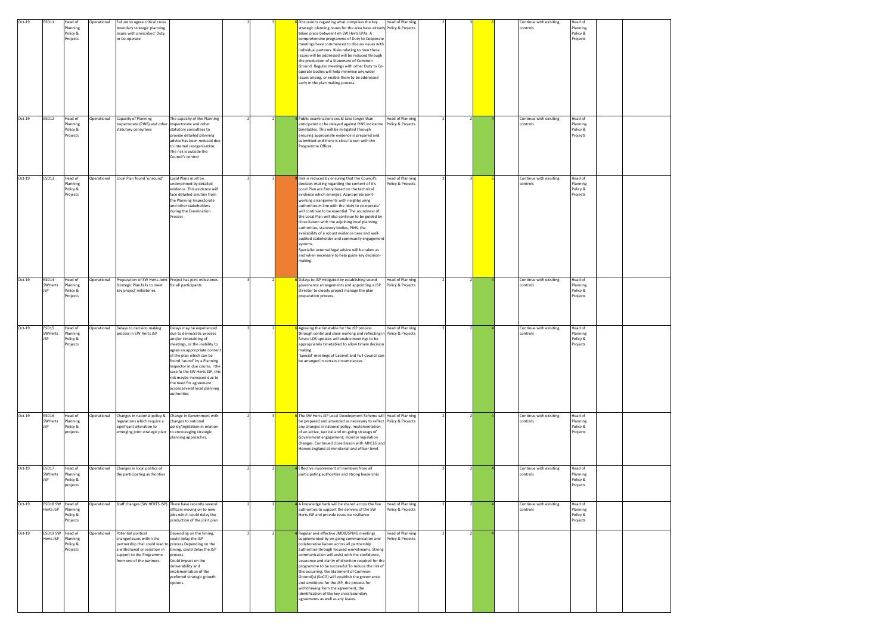| Oct-19   | ESD11                          | Head of<br>Planning<br>Policy &<br>Projects | Operational        | Failure to agree critical cross<br>boundary strategic planning<br>issues with prescribed 'Duty<br>to Co-operate'                                                                                     |                                                                                                                                                                                                                                                                                                                                                                                          |  | Discussions regarding what comprises the key<br>strategic planning issues for the area have already Policy & Projects<br>taken place betweent eh SW Herts LPAs. A<br>comprehensive programme of Duty to Cooperate<br>meetings have commenced to discuss issues with<br>individual partners. Risks relating to how these<br>issues will be addressed will be reduced through<br>the production of a Statement of Common<br>Ground. Regular meetings with other Duty to Co-<br>operate bodies will help minimise any wider<br>issues arising, or enable them to be addressed<br>early in the plan making process.                                                                                                                       | <b>Head of Planning</b>                      |  |  | Continue with exisiting<br>controls | Head of<br>Planning<br>Policy &<br>Projects |  |
|----------|--------------------------------|---------------------------------------------|--------------------|------------------------------------------------------------------------------------------------------------------------------------------------------------------------------------------------------|------------------------------------------------------------------------------------------------------------------------------------------------------------------------------------------------------------------------------------------------------------------------------------------------------------------------------------------------------------------------------------------|--|---------------------------------------------------------------------------------------------------------------------------------------------------------------------------------------------------------------------------------------------------------------------------------------------------------------------------------------------------------------------------------------------------------------------------------------------------------------------------------------------------------------------------------------------------------------------------------------------------------------------------------------------------------------------------------------------------------------------------------------|----------------------------------------------|--|--|-------------------------------------|---------------------------------------------|--|
| Oct-19   | ESD12                          | Head of<br>Planning<br>Policy &<br>Projects | <b>Operational</b> | Capacity of Planning<br>inspectorate (PINS) and other<br>statutory consultees                                                                                                                        | The capacity of the Planning<br>Inspectorate and other<br>statutory consultees to<br>provide detailed planning<br>advice has been reduced due<br>to internal reorganisation.<br>The risk is outside the<br>Council's control                                                                                                                                                             |  | Public examinations could take longer than<br>anticipated or be delayed against PINS indicative Policy & Projects<br>timetables. This will be mitigated through<br>ensuring appropriate evidence is prepared and<br>submitted and there is close liaison with the<br>Programme Officer.                                                                                                                                                                                                                                                                                                                                                                                                                                               | <b>Head of Planning</b>                      |  |  | Continue with exisiting<br>controls | Head of<br>Planning<br>Policy &<br>Projects |  |
| Oct-19   | ESD13                          | Head of<br>Planning<br>Policy &<br>Projects | Operational        | Local Plan found 'unsound'                                                                                                                                                                           | Local Plans must be<br>underpinned by detailed<br>evidence. This evidence will<br>face detailed scrutiny from<br>the Planning Inspectorate<br>and other stakeholders<br>during the Examination<br>Process                                                                                                                                                                                |  | Risk is reduced by ensuring that the Council's<br>decision-making regarding the content of it's<br>Local Plan are firmly based on the technical<br>evidence which emerges. Appropriate joint-<br>working arrangements with neighbouring<br>authorities in line with the 'duty to co-operate'<br>will continue to be essential. The soundness of<br>the Local Plan will also continue to be guided by<br>close liaison with the adjoining local planning<br>authorities, statutory bodies, PINS, the<br>availability of a robust evidence base and well-<br>audited stakeholder and community engagement<br>systems.<br>Specialist external legal advice will be taken as<br>and when necessary to help guide key decision-<br>making. | <b>Head of Planning</b><br>Policy & Projects |  |  | Continue with exisiting<br>controls | Head of<br>Planning<br>Policy &<br>Projects |  |
| Oct-19   | ESD14<br>SWHerts<br><b>JSP</b> | Head of<br>Planning<br>Policy &<br>Projects | Operational        | Preparation of SW Herts Joint Project has joint milestones<br>Strategic Plan fails to meet<br>key project milestones.                                                                                | for all participants                                                                                                                                                                                                                                                                                                                                                                     |  | Delays to JSP mitigated by establishing sound<br>governance arrangements and appointing a JSP<br>Director to closely project manage the plan<br>preparation process.                                                                                                                                                                                                                                                                                                                                                                                                                                                                                                                                                                  | <b>Head of Planning</b><br>Policy & Projects |  |  | Continue with exisiting<br>controls | Head of<br>Planning<br>Policy &<br>Projects |  |
| Oct-19   | ESD15<br>SWHerts<br><b>JSP</b> | Head of<br>Planning<br>Policy &<br>Projects | Operational        | Delays to decision making<br>process in SW Herts JSP                                                                                                                                                 | Delays may be experienced<br>due to democratic process<br>and/or timetabling of<br>meetings, or the inability to<br>agree an appropriate content<br>of the plan which can be<br>found 'sound' by a Planning<br>Inspector in due course. I the<br>case fo the SW Herts JSP, this<br>risk maybe increased due to<br>the need for agreement<br>across several local planning<br>authorities |  | <b>S</b> Agreeing the timetable for the JSP process<br>through continued close working and reflecting in Policy & Projects<br>future LDS updates will enable meetings to be<br>appropriately timetabled to allow timely decision<br>making.<br>'Special' meetings of Cabinet and Full Council can<br>be arranged in certain circumstances.                                                                                                                                                                                                                                                                                                                                                                                            | <b>Head of Planning</b>                      |  |  | Continue with exisiting<br>controls | Head of<br>Planning<br>Policy &<br>Projects |  |
| Oct-19   | ESD16<br>SWHerts<br><b>JSP</b> | Head of<br>Planning<br>Policy &<br>projects | Operational        | Changes in national policy &<br>regulations which require a<br>significant alteration to<br>emerging joint strategic plan                                                                            | Change in Government with<br>changes to national<br>policy/legislation in relation<br>to encouraging strategic<br>planning approaches.                                                                                                                                                                                                                                                   |  | The SW Herts JSP Local Development Scheme will Head of Planning<br>be prepared and amended as necessary to reflect Policy & Projects<br>any changes in national policy. Implementation<br>of an active, tactical and on-going strategy of<br>Government engagement; monitor legislation<br>changes. Continued close liaison with MHCLG and<br>Homes England at ministerial and officer level.                                                                                                                                                                                                                                                                                                                                         |                                              |  |  | Continue with exisiting<br>controls | Head of<br>Planning<br>Policy &<br>Projects |  |
| Oct-19   | ESD17<br>SWHerts<br><b>JSP</b> | Head of<br>Planning<br>Policy &<br>projects | Operational        | Changes in local politics of<br>the participating authorities                                                                                                                                        |                                                                                                                                                                                                                                                                                                                                                                                          |  | 4 Effective involvement of members from all<br>participating authorities and strong leadership                                                                                                                                                                                                                                                                                                                                                                                                                                                                                                                                                                                                                                        |                                              |  |  | Continue with exisiting<br>controls | Head of<br>Planning<br>Policy &<br>Projects |  |
| Oct-19   | ESD18 SW<br>Herts JSP          | Head of<br>Planning<br>Policy &<br>Projects | Operational        | Staff changes (SW HERTS JSP) There have recently several                                                                                                                                             | officers moving on to new<br>jobs which could delay the<br>production of the joint plan                                                                                                                                                                                                                                                                                                  |  | 4 A knowledge bank will be shared across the five<br>authorities to support the delivery of the SW<br>Herts JSP and provide resource resiliance                                                                                                                                                                                                                                                                                                                                                                                                                                                                                                                                                                                       | <b>Head of Planning</b><br>Policy & Projects |  |  | Continue with exisiting<br>controls | lead of<br>Planning<br>Policy &<br>Projects |  |
| $Oct-19$ | ESD19 SW<br>Herts JSP          | Head of<br>Planning<br>Policy &<br>Projects | Operational        | Potential political<br>change/issues within the<br>partnership that could lead to process. Depending on the<br>a withdrawal or variation in<br>support to the Programme<br>from one of the partners. | Depending on the timing,<br>could delay the JSP<br>timing, could delay the JSP<br>process.<br>Could impact on the<br>deliverability and<br>implementation of the<br>preferred strategic growth<br>options.                                                                                                                                                                               |  | 4 Regular and effective JMOB/SPMG meetings<br>supplemented by on-going communication and<br>collaborative liaison across all partnership<br>authorities through focused workstreams. Strong<br>communication will assist with the confidence,<br>assurance and clarity of direction required for the<br>programme to be successful. To reduce the risk of<br>this occurring, the Statement of Common<br>Ground(s) (SoCG) will establish the governance<br>and ambitions for the JSP, the process for<br>withdrawing from the agreement, the<br>identification of the key cross boundary<br>agreements as well as any issues.                                                                                                          | <b>Head of Planning</b><br>Policy & Projects |  |  |                                     |                                             |  |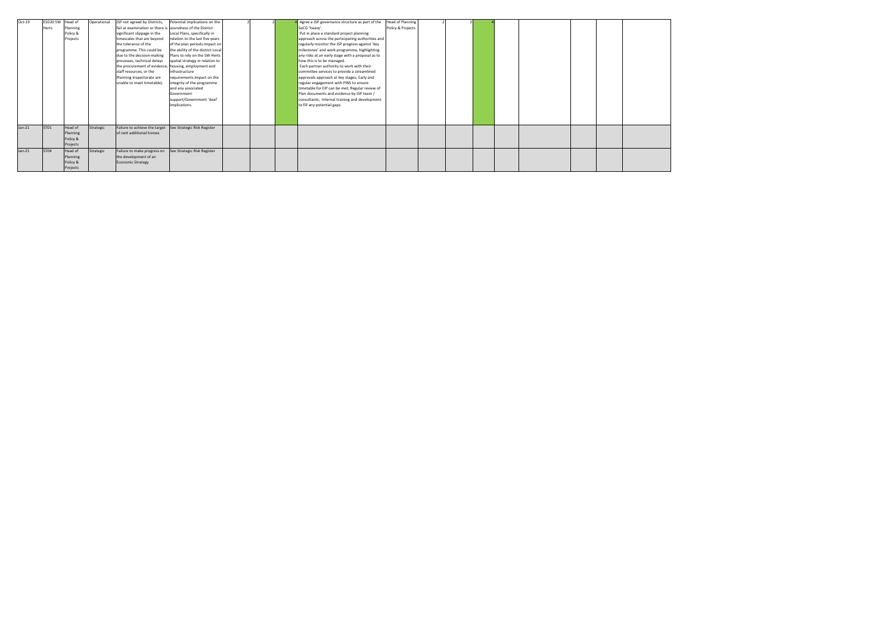| $Oct-19$ | ESD20 SW Head of |          | Operational | JSP not agreed by Districts,                              | Potential implications on the     |  | Agree a JSP governance structure as part of the   | <b>Head of Planning</b> |  |  |  |  |
|----------|------------------|----------|-------------|-----------------------------------------------------------|-----------------------------------|--|---------------------------------------------------|-------------------------|--|--|--|--|
|          | Herts            | Planning |             | fail at examination or there is soundness of the District |                                   |  | SoCG 'heavy'.                                     | Policy & Projects       |  |  |  |  |
|          |                  | Policy & |             | significant slippage in the                               | Local Plans, specifically in      |  | Put in place a standard project planning          |                         |  |  |  |  |
|          |                  | Projects |             | timescales that are beyond                                | relation to the last five years   |  | approach across the participating authorities and |                         |  |  |  |  |
|          |                  |          |             | the tolerance of the                                      | of the plan periods. Impact on    |  | regularly monitor the JSP progress against 'key   |                         |  |  |  |  |
|          |                  |          |             | programme. This could be                                  | the ability of the district Local |  | milestones' and work programme, highlighting      |                         |  |  |  |  |
|          |                  |          |             | due to the decision-making                                | Plans to rely on the SW Herts     |  | any risks at an early stage with a proposal as to |                         |  |  |  |  |
|          |                  |          |             | processes, technical delays                               | spatial strategy in relation to   |  | how this is to be managed.                        |                         |  |  |  |  |
|          |                  |          |             | the procurement of evidence, housing, employment and      |                                   |  | Each partner authority to work with their         |                         |  |  |  |  |
|          |                  |          |             | staff resources, or the                                   | infrastructure                    |  | committee services to provide a streamlined       |                         |  |  |  |  |
|          |                  |          |             | Planning Inspectorate are                                 | requirements. Impact on the       |  | approvals approach at key stages; Early and       |                         |  |  |  |  |
|          |                  |          |             | unable to meet timetable).                                | integrity of the programme        |  | regular engagement with PINS to ensure            |                         |  |  |  |  |
|          |                  |          |             |                                                           | and any associated                |  | timetable for EIP can be met; Regular review of   |                         |  |  |  |  |
|          |                  |          |             |                                                           | Government                        |  | Plan documents and evidence by JSP team /         |                         |  |  |  |  |
|          |                  |          |             |                                                           | support/Government 'deal'         |  | consultants; Internal training and development    |                         |  |  |  |  |
|          |                  |          |             |                                                           | implications.                     |  | to fill any potential gaps.                       |                         |  |  |  |  |
|          |                  |          |             |                                                           |                                   |  |                                                   |                         |  |  |  |  |
|          |                  |          |             |                                                           |                                   |  |                                                   |                         |  |  |  |  |
|          |                  |          |             |                                                           |                                   |  |                                                   |                         |  |  |  |  |
| $Jan-21$ | ST01             | Head of  | Strategic   | Failure to achieve the target                             | See Strategic Risk Register       |  |                                                   |                         |  |  |  |  |
|          |                  | Planning |             | of nett additional homes                                  |                                   |  |                                                   |                         |  |  |  |  |
|          |                  | Policy & |             |                                                           |                                   |  |                                                   |                         |  |  |  |  |
|          |                  | Projects |             |                                                           |                                   |  |                                                   |                         |  |  |  |  |
| $Jan-21$ | ST04             | Head of  | Strategic   | Failure to make progress on                               | See Strategic Risk Register       |  |                                                   |                         |  |  |  |  |
|          |                  | Planning |             | the development of an                                     |                                   |  |                                                   |                         |  |  |  |  |
|          |                  | Policy & |             | <b>Economic Strategy</b>                                  |                                   |  |                                                   |                         |  |  |  |  |
|          |                  | Projects |             |                                                           |                                   |  |                                                   |                         |  |  |  |  |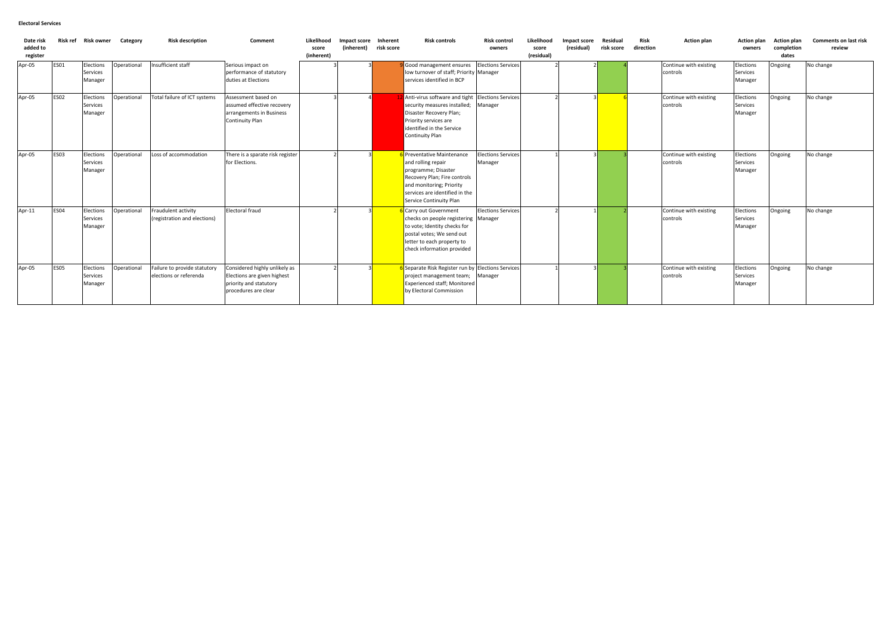| Date risk<br>added to<br>register |             |                                  | Risk ref Risk owner Category | <b>Risk description</b>                                | Comment                                                                                                        | Likelihood<br>score<br>(inherent) | Impact score Inherent<br>(inherent) | risk score | <b>Risk controls</b>                                                                                                                                                                           | <b>Risk control</b><br>owners        | Likelihood<br>score<br>(residual) | Impact score<br>(residual) | Residual<br>risk score | Risk<br>direction | <b>Action plan</b>                 | Action plan<br>owners                   | <b>Action plan</b><br>completion<br>dates | <b>Comments on last risk</b><br>review |
|-----------------------------------|-------------|----------------------------------|------------------------------|--------------------------------------------------------|----------------------------------------------------------------------------------------------------------------|-----------------------------------|-------------------------------------|------------|------------------------------------------------------------------------------------------------------------------------------------------------------------------------------------------------|--------------------------------------|-----------------------------------|----------------------------|------------------------|-------------------|------------------------------------|-----------------------------------------|-------------------------------------------|----------------------------------------|
| Apr-05                            | <b>ES01</b> | Elections<br>Services<br>Manager | Operational                  | Insufficient staff                                     | Serious impact on<br>performance of statutory<br>duties at Elections                                           |                                   |                                     |            | Good management ensures<br>low turnover of staff; Priority Manager<br>services identified in BCP                                                                                               | <b>Elections Services</b>            |                                   |                            |                        |                   | Continue with existing<br>controls | Elections<br>Services<br>Manager        | Ongoing                                   | No change                              |
| Apr-05                            | <b>ES02</b> | Elections<br>Services<br>Manager | Operational                  | Total failure of ICT systems                           | Assessment based on<br>assumed effective recovery<br>arrangements in Business<br>Continuity Plan               |                                   |                                     |            | Anti-virus software and tight<br>security measures installed;<br>Disaster Recovery Plan;<br>Priority services are<br>identified in the Service<br><b>Continuity Plan</b>                       | <b>Elections Services</b><br>Manager |                                   |                            |                        |                   | Continue with existing<br>controls | Elections<br><b>Services</b><br>Manager | Ongoing                                   | No change                              |
| Apr-05                            | <b>ES03</b> | Elections<br>Services<br>Manager | Operational                  | Loss of accommodation                                  | There is a sparate risk register<br>for Elections.                                                             |                                   |                                     |            | Preventative Maintenance<br>and rolling repair<br>programme; Disaster<br>Recovery Plan; Fire controls<br>and monitoring; Priority<br>services are identified in the<br>Service Continuity Plan | <b>Elections Services</b><br>Manager |                                   |                            |                        |                   | Continue with existing<br>controls | Elections<br><b>Services</b><br>Manager | Ongoing                                   | No change                              |
| Apr-11                            | <b>ES04</b> | Elections<br>Services<br>Manager | Operational                  | Fraudulent activity<br>(registration and elections)    | Electoral fraud                                                                                                |                                   |                                     |            | Carry out Government<br>checks on people registering Manager<br>to vote; Identity checks for<br>postal votes; We send out<br>letter to each property to<br>check information provided          | <b>Elections Services</b>            |                                   |                            |                        |                   | Continue with existing<br>controls | Elections<br><b>Services</b><br>Manager | Ongoing                                   | No change                              |
| Apr-05                            | <b>ES05</b> | Elections<br>Services<br>Manager | Operational                  | Failure to provide statutory<br>elections or referenda | Considered highly unlikely as<br>Elections are given highest<br>priority and statutory<br>procedures are clear |                                   |                                     |            | Separate Risk Register run by Elections Services<br>project management team;<br><b>Experienced staff; Monitored</b><br>by Electoral Commission                                                 | Manager                              |                                   |                            |                        |                   | Continue with existing<br>controls | Elections<br><b>Services</b><br>Manager | Ongoing                                   | No change                              |

# **Electoral Services**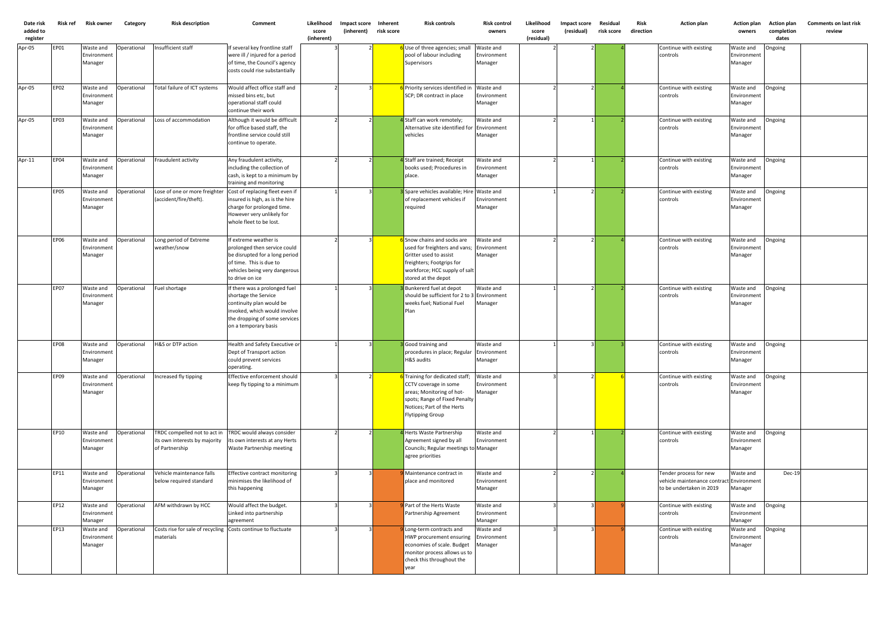| Date risk<br>added to<br>register | Risk ref    | <b>Risk owner</b>                   | Category           | <b>Risk description</b>                                                         | Comment                                                                                                                                                                    | Likelihood<br>score<br>(inherent) | Impact score Inherent<br>(inherent) | risk score | <b>Risk controls</b>                                                                                                                                                                 | <b>Risk control</b><br>owners       | Likelihood<br>score<br>(residual) | Impact score<br>(residual) | Residual<br>risk score | Risk<br>direction | <b>Action plan</b>                                                                             | <b>Action plan</b><br>owners        | <b>Action plan</b><br>completion<br>dates | <b>Comments on last risk</b><br>review |
|-----------------------------------|-------------|-------------------------------------|--------------------|---------------------------------------------------------------------------------|----------------------------------------------------------------------------------------------------------------------------------------------------------------------------|-----------------------------------|-------------------------------------|------------|--------------------------------------------------------------------------------------------------------------------------------------------------------------------------------------|-------------------------------------|-----------------------------------|----------------------------|------------------------|-------------------|------------------------------------------------------------------------------------------------|-------------------------------------|-------------------------------------------|----------------------------------------|
| Apr-05                            | EP01        | Waste and<br>Environment<br>Manager | Operational        | Insufficient staff                                                              | If several key frontline staff<br>were ill / injured for a period<br>of time, the Council's agency<br>costs could rise substantially                                       |                                   |                                     |            | Use of three agencies; small<br>pool of labour including<br>Supervisors                                                                                                              | Waste and<br>Environment<br>Manager |                                   |                            |                        |                   | Continue with existing<br>controls                                                             | Waste and<br>Environment<br>Manager | Ongoing                                   |                                        |
| Apr-05                            | EP02        | Waste and<br>Environment<br>Manager | Operational        | Total failure of ICT systems                                                    | Would affect office staff and<br>missed bins etc, but<br>operational staff could<br>continue their work                                                                    |                                   |                                     |            | Priority services identified in Waste and<br>SCP; DR contract in place                                                                                                               | Environment<br>Manager              |                                   |                            |                        |                   | Continue with existing<br>controls                                                             | Waste and<br>Environment<br>Manager | Ongoing                                   |                                        |
| Apr-05                            | <b>EP03</b> | Waste and<br>Environment<br>Manager | <b>Operational</b> | Loss of accommodation                                                           | Although it would be difficult<br>for office based staff, the<br>frontline service could still<br>continue to operate.                                                     |                                   |                                     |            | 4 Staff can work remotely;<br>Alternative site identified for<br>vehicles                                                                                                            | Waste and<br>Environment<br>Manager |                                   |                            |                        |                   | Continue with existing<br>controls                                                             | Waste and<br>Environment<br>Manager | Ongoing                                   |                                        |
| Apr-11                            | EP04        | Waste and<br>Environment<br>Manager | Operational        | Fraudulent activity                                                             | Any fraudulent activity,<br>including the collection of<br>cash, is kept to a minimum by<br>training and monitoring                                                        |                                   |                                     |            | 4 Staff are trained; Receipt<br>books used; Procedures in<br>place.                                                                                                                  | Waste and<br>Environment<br>Manager |                                   |                            |                        |                   | Continue with existing<br>controls                                                             | Waste and<br>Environment<br>Manager | Ongoing                                   |                                        |
|                                   | <b>EP05</b> | Waste and<br>Environment<br>Manager | Operational        | Lose of one or more freighter<br>(accident/fire/theft).                         | Cost of replacing fleet even if<br>insured is high, as is the hire<br>charge for prolonged time.<br>However very unlikely for<br>whole fleet to be lost.                   |                                   |                                     |            | <b>B</b> Spare vehicles available; Hire Waste and<br>of replacement vehicles if<br>required                                                                                          | Environment<br>Manager              |                                   |                            |                        |                   | Continue with existing<br>controls                                                             | Waste and<br>Environment<br>Manager | Ongoing                                   |                                        |
|                                   | <b>EP06</b> | Waste and<br>Environment<br>Manager | Operational        | Long period of Extreme<br>weather/snow                                          | If extreme weather is<br>prolonged then service could<br>be disrupted for a long period<br>of time. This is due to<br>vehicles being very dangerous<br>to drive on ice     |                                   |                                     |            | 6 Snow chains and socks are<br>used for freighters and vans;<br>Gritter used to assist<br>freighters; Footgrips for<br>workforce; HCC supply of salt<br>stored at the depot          | Waste and<br>Environment<br>Manager |                                   |                            |                        |                   | Continue with existing<br>controls                                                             | Waste and<br>Environment<br>Manager | Ongoing                                   |                                        |
|                                   | EP07        | Waste and<br>Environment<br>Manager | Operational        | Fuel shortage                                                                   | If there was a prolonged fuel<br>shortage the Service<br>continuity plan would be<br>invoked, which would involve<br>the dropping of some services<br>on a temporary basis |                                   |                                     |            | Bunkererd fuel at depot<br>should be sufficient for 2 to 3 Environment<br>weeks fuel; National Fuel<br>Plan                                                                          | Waste and<br>Manager                |                                   |                            |                        |                   | Continue with existing<br>controls                                                             | Waste and<br>Environment<br>Manager | Ongoing                                   |                                        |
|                                   | <b>EP08</b> | Waste and<br>Environment<br>Manager | Operational        | H&S or DTP action                                                               | Health and Safety Executive or<br>Dept of Transport action<br>could prevent services<br>operating.                                                                         |                                   |                                     |            | <b>B</b> Good training and<br>procedures in place; Regular Environment<br>H&S audits                                                                                                 | Waste and<br>Manager                |                                   |                            |                        |                   | Continue with existing<br>controls                                                             | Waste and<br>Environment<br>Manager | Ongoing                                   |                                        |
|                                   | EP09        | Waste and<br>Environment<br>Manager | Operational        | Increased fly tipping                                                           | Effective enforcement should<br>keep fly tipping to a minimum                                                                                                              |                                   |                                     |            | <b>Training for dedicated staff;</b><br>CCTV coverage in some<br>areas; Monitoring of hot-<br>spots; Range of Fixed Penalty<br>Notices; Part of the Herts<br><b>Flytipping Group</b> | Waste and<br>Environment<br>Manager |                                   |                            |                        |                   | Continue with existing<br>controls                                                             | Waste and<br>Environment<br>Manager | Ongoing                                   |                                        |
|                                   | EP10        | Waste and<br>Environment<br>Manager | Operational        | TRDC compelled not to act in<br>its own interests by majority<br>of Partnership | TRDC would always consider<br>its own interests at any Herts<br>Waste Partnership meeting                                                                                  |                                   |                                     |            | Herts Waste Partnership<br>Agreement signed by all<br>Councils; Regular meetings to Manager<br>agree priorities                                                                      | Waste and<br>Environment            |                                   |                            |                        |                   | Continue with existing<br>controls                                                             | Waste and<br>Environment<br>Manager | Ongoing                                   |                                        |
|                                   | EP11        | Waste and<br>Environment<br>Manager | Operational        | Vehicle maintenance falls<br>below required standard                            | Effective contract monitoring<br>minimises the likelihood of<br>this happening                                                                                             |                                   |                                     |            | Maintenance contract in<br>place and monitored                                                                                                                                       | Waste and<br>Environment<br>Manager |                                   |                            |                        |                   | Tender process for new<br>vehicle maintenance contract Environment<br>to be undertaken in 2019 | Waste and<br>Manager                | <b>Dec-19</b>                             |                                        |
|                                   | EP12        | Waste and<br>Environment<br>Manager | Operational        | AFM withdrawn by HCC                                                            | Would affect the budget.<br>Linked into partnership<br>agreement                                                                                                           |                                   |                                     |            | Part of the Herts Waste<br>Partnership Agreement                                                                                                                                     | Waste and<br>Environment<br>Manager |                                   |                            |                        |                   | Continue with existing<br>controls                                                             | Waste and<br>Environment<br>Manager | Ongoing                                   |                                        |
|                                   | EP13        | Waste and<br>Environment<br>Manager | Operational        | Costs rise for sale of recycling Costs continue to fluctuate<br>materials       |                                                                                                                                                                            |                                   |                                     |            | Long-term contracts and<br>HWP procurement ensuring<br>economies of scale. Budget<br>monitor process allows us to<br>check this throughout the<br>year                               | Waste and<br>Environment<br>Manager |                                   |                            |                        |                   | Continue with existing<br>controls                                                             | Waste and<br>Environment<br>Manager | Ongoing                                   |                                        |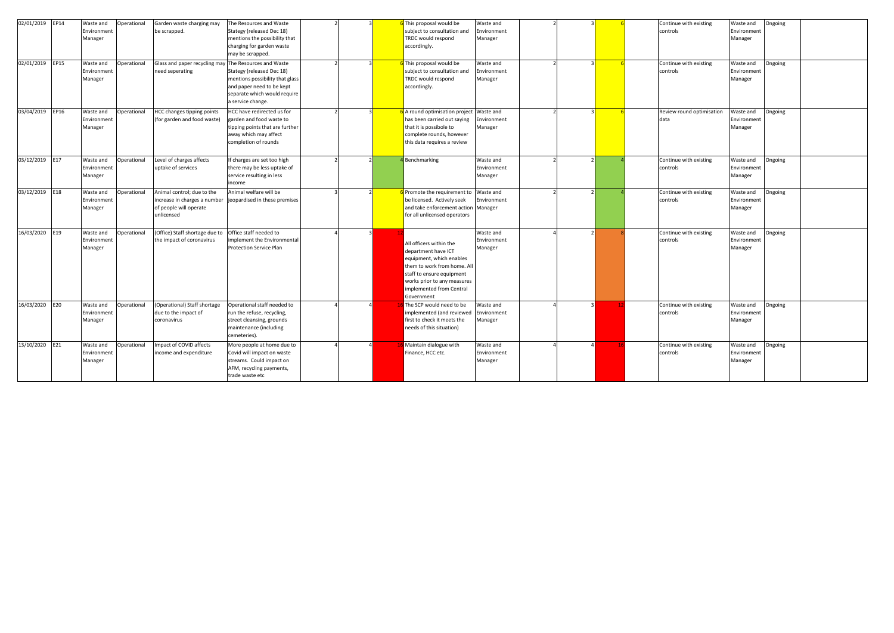| 02/01/2019 EP14<br>02/01/2019<br>EP15 | Waste and<br>Operational<br>Environment<br>Manager<br>Waste and<br>Operational<br><b>Environmen</b><br>Manager | Garden waste charging may<br>be scrapped.<br>Glass and paper recycling may<br>need seperating      | The Resources and Waste<br>Stategy (released Dec 18)<br>mentions the possibility that<br>charging for garden waste<br>may be scrapped.<br>The Resources and Waste<br>Stategy (released Dec 18)<br>mentions possibility that glass<br>and paper need to be kept<br>separate which would require |  | This proposal would be<br>subject to consultation and<br><b>RDC</b> would respond<br>accordingly.<br>This proposal would be<br>subject to consultation and<br><b>TRDC</b> would respond<br>accordingly.         | Waste and<br>Environment<br>Manager<br>Waste and<br>Environment<br>Manager |  |  | Continue with existing<br>controls<br>Continue with existing<br>controls | Waste and<br>Environment<br>Manager<br>Waste and<br>Environment<br>Manager | Ongoing<br>Ongoing |  |
|---------------------------------------|----------------------------------------------------------------------------------------------------------------|----------------------------------------------------------------------------------------------------|------------------------------------------------------------------------------------------------------------------------------------------------------------------------------------------------------------------------------------------------------------------------------------------------|--|-----------------------------------------------------------------------------------------------------------------------------------------------------------------------------------------------------------------|----------------------------------------------------------------------------|--|--|--------------------------------------------------------------------------|----------------------------------------------------------------------------|--------------------|--|
| 03/04/2019<br>EP16                    | Waste and<br>Operational<br><b>Environmen</b><br>Manager                                                       | <b>HCC changes tipping points</b><br>(for garden and food waste)                                   | a service change.<br>HCC have redirected us for<br>garden and food waste to<br>tipping points that are further<br>away which may affect<br>completion of rounds                                                                                                                                |  | A round optimisation project<br>has been carried out saying<br>that it is possibole to<br>complete rounds, however<br>this data requires a review                                                               | Waste and<br>Environment<br>Manager                                        |  |  | Review round optimisation<br>data                                        | Waste and<br>Environment<br>Manager                                        | Ongoing            |  |
| 03/12/2019<br>E17                     | Waste and<br>Operational<br>Environmen <sup>®</sup><br>Manager                                                 | Level of charges affects<br>uptake of services                                                     | If charges are set too high<br>there may be less uptake of<br>service resulting in less<br>income                                                                                                                                                                                              |  | <b>Benchmarking</b>                                                                                                                                                                                             | Waste and<br>Environment<br>Manager                                        |  |  | Continue with existing<br>controls                                       | Waste and<br>Environment<br>Manager                                        | Ongoing            |  |
| 03/12/2019<br>E18                     | Waste and<br>Operational<br><b>Environmen</b><br>Manager                                                       | Animal control; due to the<br>increase in charges a number<br>of people will operate<br>unlicensed | Animal welfare will be<br>jeopardised in these premises                                                                                                                                                                                                                                        |  | Promote the requirement to<br>be licensed. Actively seek<br>and take enforcement action Manager<br>for all unlicensed operators                                                                                 | Waste and<br>Environment                                                   |  |  | Continue with existing<br>controls                                       | Waste and<br>Environment<br>Manager                                        | Ongoing            |  |
| 16/03/2020<br>E19                     | Waste and<br>Operational<br>Environment<br>Manager                                                             | (Office) Staff shortage due to<br>the impact of coronavirus                                        | Office staff needed to<br>mplement the Environmental<br><b>Protection Service Plan</b>                                                                                                                                                                                                         |  | All officers within the<br>department have ICT<br>equipment, which enables<br>them to work from home. All<br>staff to ensure equipment<br>works prior to any measures<br>implemented from Central<br>Government | Waste and<br>Environment<br>Manager                                        |  |  | Continue with existing<br>controls                                       | Waste and<br>Environment<br>Manager                                        | Ongoing            |  |
| 16/03/2020<br>E20                     | Waste and<br>Operational<br>Environment<br>Manager                                                             | (Operational) Staff shortage<br>due to the impact of<br>coronavirus                                | Operational staff needed to<br>run the refuse, recycling,<br>street cleansing, grounds<br>maintenance (including<br>cemeteries).                                                                                                                                                               |  | The SCP would need to be<br>mplemented (and reviewed<br>first to check it meets the<br>needs of this situation)                                                                                                 | Waste and<br>Environment<br>Manager                                        |  |  | Continue with existing<br>controls                                       | Waste and<br>Environment<br>Manager                                        | Ongoing            |  |
| 13/10/2020 E21                        | Waste and<br>Operational<br>Environmen <sup>®</sup><br>Manager                                                 | Impact of COVID affects<br>income and expenditure                                                  | More people at home due to<br>Covid will impact on waste<br>streams. Could impact on<br>AFM, recycling payments,<br>trade waste etc                                                                                                                                                            |  | Maintain dialogue with<br>Finance, HCC etc.                                                                                                                                                                     | Waste and<br>Environment<br>Manager                                        |  |  | Continue with existing<br>controls                                       | Waste and<br>Environment<br>Manager                                        | Ongoing            |  |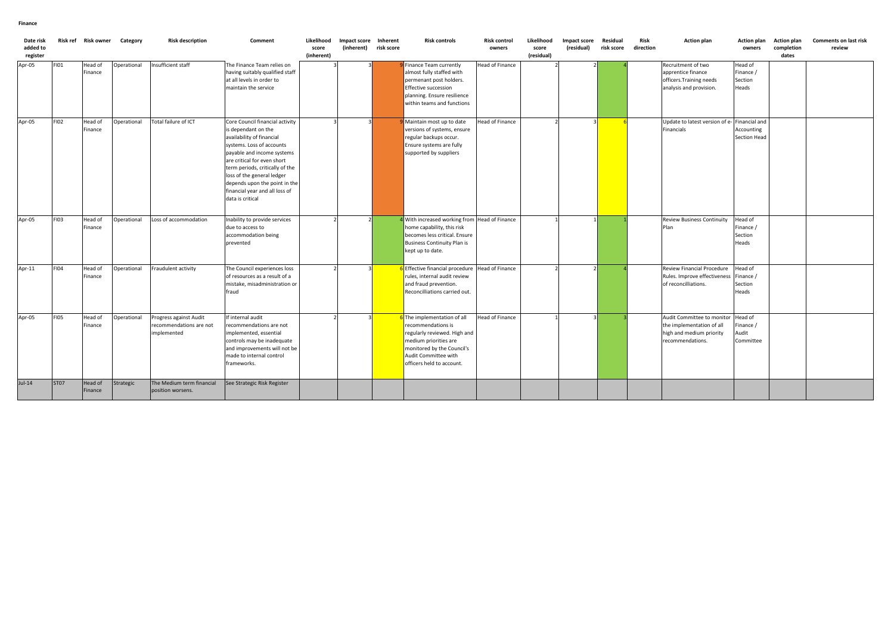| Date risk<br>added to<br>register |             | Risk ref Risk owner | Category    | <b>Risk description</b>                                          | Comment                                                                                                                                                                                                                                                                                                                               | Likelihood<br>score<br>(inherent) | Impact score Inherent<br>(inherent) | risk score | <b>Risk controls</b>                                                                                                                                                                                 | <b>Risk control</b><br>owners | Likelihood<br>score<br>(residual) | Impact score<br>(residual) | Residual<br>risk score | Risk<br>direction | <b>Action plan</b>                                                                                      | <b>Action plan</b><br>owners                | <b>Action plan</b><br>completion<br>dates | <b>Comments on last risk</b><br>review |
|-----------------------------------|-------------|---------------------|-------------|------------------------------------------------------------------|---------------------------------------------------------------------------------------------------------------------------------------------------------------------------------------------------------------------------------------------------------------------------------------------------------------------------------------|-----------------------------------|-------------------------------------|------------|------------------------------------------------------------------------------------------------------------------------------------------------------------------------------------------------------|-------------------------------|-----------------------------------|----------------------------|------------------------|-------------------|---------------------------------------------------------------------------------------------------------|---------------------------------------------|-------------------------------------------|----------------------------------------|
| Apr-05                            | <b>FI01</b> | Head of<br>Finance  | Operational | Insufficient staff                                               | The Finance Team relies on<br>having suitably qualified staff<br>at all levels in order to<br>maintain the service                                                                                                                                                                                                                    |                                   |                                     |            | Finance Team currently<br>almost fully staffed with<br>permenant post holders.<br><b>Effective succession</b><br>planning. Ensure resilience<br>within teams and functions                           | Head of Finance               |                                   |                            |                        |                   | Recruitment of two<br>apprentice finance<br>officers. Training needs<br>analysis and provision.         | Head of<br>Finance /<br>Section<br>Heads    |                                           |                                        |
| Apr-05                            | FI02        | Head of<br>Finance  | Operational | Total failure of ICT                                             | Core Council financial activity<br>is dependant on the<br>availability of financial<br>systems. Loss of accounts<br>payable and income systems<br>are critical for even short<br>term periods, critically of the<br>loss of the general ledger<br>depends upon the point in the<br>financial year and all loss of<br>data is critical |                                   |                                     |            | Maintain most up to date<br>versions of systems, ensure<br>regular backups occur.<br>Ensure systems are fully<br>supported by suppliers                                                              | Head of Finance               |                                   |                            |                        |                   | Update to latest version of e-<br>Financials                                                            | Financial and<br>Accounting<br>Section Head |                                           |                                        |
| Apr-05                            | <b>FI03</b> | Head of<br>Finance  | Operational | Loss of accommodation                                            | Inability to provide services<br>due to access to<br>accommodation being<br>prevented                                                                                                                                                                                                                                                 |                                   |                                     |            | 4 With increased working from Head of Finance<br>home capability, this risk<br>becomes less critical. Ensure<br><b>Business Continuity Plan is</b><br>kept up to date.                               |                               |                                   |                            |                        |                   | <b>Review Business Continuity</b><br>Plan                                                               | Head of<br>Finance /<br>Section<br>Heads    |                                           |                                        |
| Apr-11                            | <b>FI04</b> | Head of<br>Finance  | Operational | Fraudulent activity                                              | The Council experiences loss<br>of resources as a result of a<br>mistake, misadministration or<br>fraud                                                                                                                                                                                                                               |                                   |                                     |            | 6 Effective financial procedure<br>rules, internal audit review<br>and fraud prevention.<br>Reconcilliations carried out.                                                                            | Head of Finance               |                                   |                            |                        |                   | Review Financial Procedure<br>Rules. Improve effectiveness<br>of reconcilliations.                      | Head of<br>Finance /<br>Section<br>Heads    |                                           |                                        |
| Apr-05                            | <b>FI05</b> | Head of<br>Finance  | Operational | Progress against Audit<br>recommendations are not<br>implemented | If internal audit<br>recommendations are not<br>implemented, essential<br>controls may be inadequate<br>and improvements will not be<br>made to internal control<br>frameworks.                                                                                                                                                       |                                   |                                     |            | <b>S</b> The implementation of all<br>recommendations is<br>regularly reviewed. High and<br>medium priorities are<br>monitored by the Council's<br>Audit Committee with<br>officers held to account. | Head of Finance               |                                   |                            |                        |                   | Audit Committee to monitor<br>the implementation of all<br>high and medium priority<br>recommendations. | Head of<br>Finance /<br>Audit<br>Committee  |                                           |                                        |
| $Jul-14$                          | <b>ST07</b> | Head of<br>Finance  | Strategic   | The Medium term financial<br>position worsens.                   | See Strategic Risk Register                                                                                                                                                                                                                                                                                                           |                                   |                                     |            |                                                                                                                                                                                                      |                               |                                   |                            |                        |                   |                                                                                                         |                                             |                                           |                                        |

### **Finance**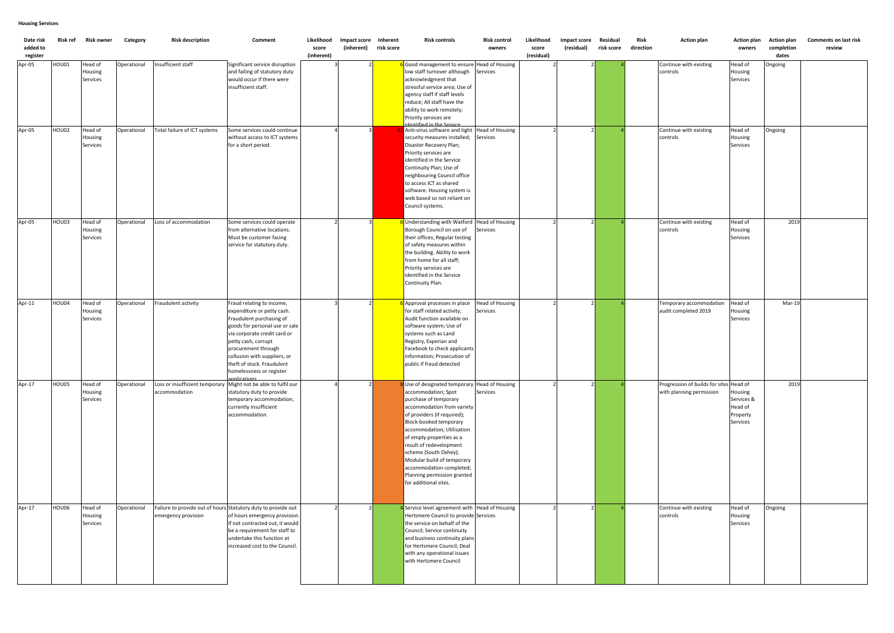| Date risk<br>added to<br>register | Risk ref | <b>Risk owner</b>              | Category    | <b>Risk description</b>                                                              | Comment                                                                                                                                                                                                                                                                                       | Likelihood<br>score<br>(inherent) | Impact score Inherent<br>(inherent) | risk score | <b>Risk controls</b>                                                                                                                                                                                                                                                                                                                                                                                                 | <b>Risk control</b><br>owners             | Likelihood<br>score<br>(residual) | Impact score<br>(residual) | Residual<br>risk score | Risk<br>direction | <b>Action plan</b>                                                  | <b>Action plan</b><br>owners                             | <b>Action plan</b><br>completion<br>dates | <b>Comments on last risk</b><br>review |
|-----------------------------------|----------|--------------------------------|-------------|--------------------------------------------------------------------------------------|-----------------------------------------------------------------------------------------------------------------------------------------------------------------------------------------------------------------------------------------------------------------------------------------------|-----------------------------------|-------------------------------------|------------|----------------------------------------------------------------------------------------------------------------------------------------------------------------------------------------------------------------------------------------------------------------------------------------------------------------------------------------------------------------------------------------------------------------------|-------------------------------------------|-----------------------------------|----------------------------|------------------------|-------------------|---------------------------------------------------------------------|----------------------------------------------------------|-------------------------------------------|----------------------------------------|
| Apr-05                            | HOU01    | Head of<br>Housing<br>Services | Operational | Insufficient staff                                                                   | Significant service disruption<br>and failing of statutory duty<br>would occur if there were<br>insufficient staff.                                                                                                                                                                           |                                   |                                     |            | 6 Good management to ensure Head of Housing<br>low staff turnover although<br>acknowledgment that<br>stressful service area; Use of<br>agency staff if staff levels<br>reduce; All staff have the<br>ability to work remotely;<br>Priority services are                                                                                                                                                              | Services                                  |                                   |                            |                        |                   | Continue with existing<br>controls                                  | Head of<br>Housing<br>Services                           | Ongoing                                   |                                        |
| Apr-05                            | HOU02    | Head of<br>Housing<br>Services | Operational | Total failure of ICT systems                                                         | Some services could continue<br>without access to ICT systems<br>for a short period.                                                                                                                                                                                                          |                                   |                                     |            | dentified in the Service<br>Anti-virus software and tight   Head of Housing<br>security measures installed; Services<br>Disaster Recovery Plan;<br>Priority services are<br>identified in the Service<br>Continuity Plan; Use of<br>neighbouring Council office<br>to access ICT as shared<br>software. Housing system is<br>web based so not reliant on<br>Council systems.                                         |                                           |                                   |                            |                        |                   | Continue with existing<br>controls                                  | Head of<br>Housing<br>Services                           | Ongoing                                   |                                        |
| Apr-05                            | HOU03    | Head of<br>Housing<br>Services | Operational | Loss of accommodation                                                                | Some services could operate<br>from alternative locations.<br>Must be customer facing<br>service for statutory duty.                                                                                                                                                                          |                                   |                                     |            | 6 Understanding with Watford   Head of Housing<br>Borough Council on use of<br>their offices; Regular testing<br>of safety measures within<br>the building. Ability to work<br>from home for all staff;<br>Priority services are<br>identified in the Service<br>Continuity Plan.                                                                                                                                    | Services                                  |                                   |                            |                        |                   | Continue with existing<br>controls                                  | Head of<br>Housing<br>Services                           | 2019                                      |                                        |
| Apr-11                            | HOU04    | Head of<br>Housing<br>Services | Operational | Fraudulent activity                                                                  | Fraud relating to income,<br>expenditure or petty cash.<br>Fraudulent purchasing of<br>goods for personal use or sale<br>via corporate credit card or<br>petty cash, corrupt<br>procurement through<br>collusion with suppliers, or<br>theft of stock. Fraudulent<br>homelessness or register |                                   |                                     |            | 6 Approval processes in place<br>for staff related activity;<br>Audit function available on<br>software system; Use of<br>systems such as Land<br>Registry, Experian and<br>Facebook to check applicants<br>Information; Prosecution of<br>public if fraud detected                                                                                                                                                  | <b>Head of Housing</b><br><b>Services</b> |                                   |                            |                        |                   | Temporary accommodation<br>audit completed 2019                     | Head of<br>Housing<br>Services                           | Mar-19                                    |                                        |
| Apr-17                            | HOU05    | Head of<br>Housing<br>Services | Operational | Loss or insufficient temporary<br>accommodation                                      | innlications<br>Might not be able to fulfil our<br>statutory duty to provide<br>temporary accommodation,<br>currently insufficient<br>accommodation.                                                                                                                                          |                                   |                                     |            | 8 Use of designated temporary Head of Housing<br>accommodation; Spot<br>purchase of temporary<br>accommodation from variety<br>of providers (if required);<br>Block-booked temporary<br>accommodation; Utilisation<br>of empty properties as a<br>result of redevelopment<br>scheme (South Oxhey);<br>Modular build of temporary<br>accommodation completed;<br>Planning permission granted<br>for additional sites. | Services                                  |                                   |                            |                        |                   | Progression of builds for sites Head of<br>with planning permission | Housing<br>Services &<br>Head of<br>Property<br>Services | 2019                                      |                                        |
| Apr-17                            | HOU06    | Head of<br>Housing<br>Services | Operational | Failure to provide out of hours Statutory duty to provide out<br>emergency provision | of hours emergency provision.<br>If not contracted out, it would<br>be a requirement for staff to<br>undertake this function at<br>increased cost to the Council.                                                                                                                             |                                   |                                     |            | <sup>1</sup> Service level agreement with Head of Housing<br>Hertsmere Council to provide Services<br>the service on behalf of the<br>Council; Service continuity<br>and business continuity plans<br>for Hertsmere Council; Deal<br>with any operational issues<br>with Hertsmere Council                                                                                                                           |                                           |                                   |                            |                        |                   | Continue with existing<br>controls                                  | Head of<br>Housing<br>Services                           | Ongoing                                   |                                        |

# **Housing Services**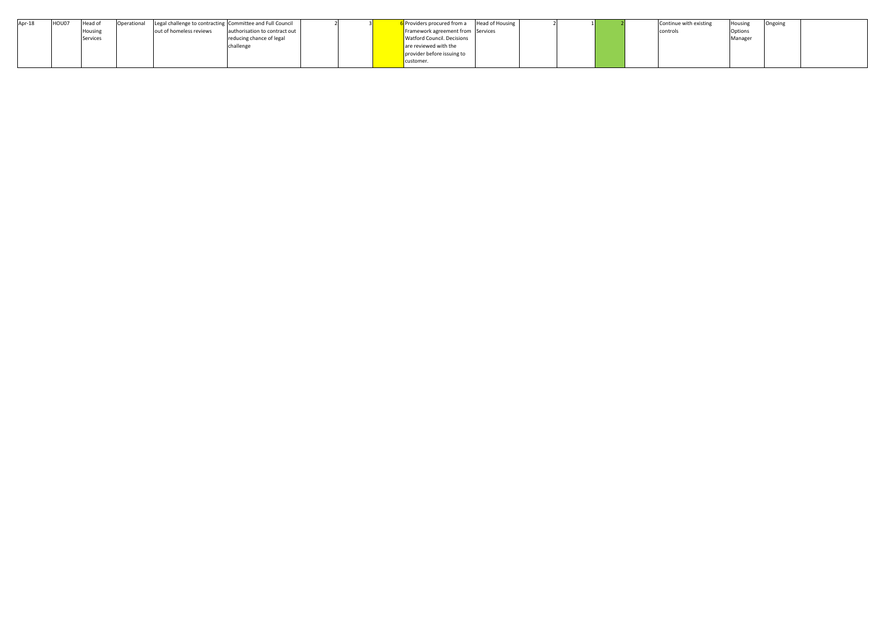| Apr-18 | HOU07 | Head of  | <b>Operational</b> |                         | Legal challenge to contracting Committee and Full Council |  | il Providers procured from a      | <b>Head of Housing</b> |  |  | Continue with existing | Housing | Ongoing |
|--------|-------|----------|--------------------|-------------------------|-----------------------------------------------------------|--|-----------------------------------|------------------------|--|--|------------------------|---------|---------|
|        |       | Housin   |                    | out of homeless reviews | authorisation to contract out                             |  | Framework agreement from Services |                        |  |  | controls               | Options |         |
|        |       | Services |                    |                         | reducing chance of legal                                  |  | <b>Watford Council. Decisions</b> |                        |  |  |                        | Manager |         |
|        |       |          |                    |                         | challenge                                                 |  | are reviewed with the             |                        |  |  |                        |         |         |
|        |       |          |                    |                         |                                                           |  | provider before issuing to        |                        |  |  |                        |         |         |
|        |       |          |                    |                         |                                                           |  | customer                          |                        |  |  |                        |         |         |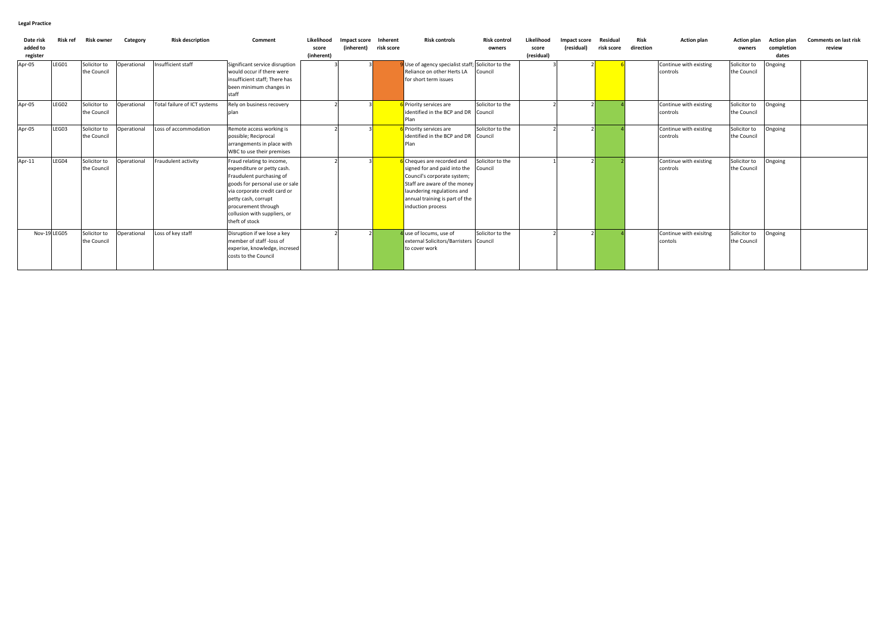| Date ris<br>added to<br>register | <b>Risk ref</b> | Risk owner                  | Category    | <b>Risk description</b>      | Comment                                                                                                                                                                                                                                               | Likelihood<br>score<br>(inherent) | Impact score Inherent<br>(inherent) | risk score | <b>Risk controls</b>                                                                                                                                                                                           | <b>Risk control</b><br>owners | Likelihood<br>score<br>(residual) | Impact score<br>(residual) | Residua<br>risk score | Risk<br>direction | <b>Action plan</b>                 | <b>Action plan</b><br>owners | <b>Action plan</b><br>completion<br>dates | <b>Comments on last risk</b><br>review |
|----------------------------------|-----------------|-----------------------------|-------------|------------------------------|-------------------------------------------------------------------------------------------------------------------------------------------------------------------------------------------------------------------------------------------------------|-----------------------------------|-------------------------------------|------------|----------------------------------------------------------------------------------------------------------------------------------------------------------------------------------------------------------------|-------------------------------|-----------------------------------|----------------------------|-----------------------|-------------------|------------------------------------|------------------------------|-------------------------------------------|----------------------------------------|
| Apr-05                           | LEG01           | Solicitor to<br>the Council | Operational | Insufficient staff           | Significant service disruption<br>would occur if there were<br>insufficient staff; There has<br>been minimum changes in<br>staff                                                                                                                      |                                   |                                     |            | Use of agency specialist staff; Solicitor to the<br>Reliance on other Herts LA<br>for short term issues                                                                                                        | Council                       |                                   |                            |                       |                   | Continue with existing<br>controls | Solicitor to<br>the Council  | Ongoing                                   |                                        |
| Apr-05                           | LEG02           | Solicitor to<br>the Council | Operational | Total failure of ICT systems | Rely on business recovery<br>plan                                                                                                                                                                                                                     |                                   |                                     |            | 6 Priority services are<br>identified in the BCP and DR Council<br>Plan                                                                                                                                        | Solicitor to the              |                                   |                            |                       |                   | Continue with existing<br>controls | Solicitor to<br>the Council  | Ongoing                                   |                                        |
| Apr-05                           | LEG03           | Solicitor to<br>the Council | Operational | Loss of accommodation        | Remote access working is<br>possible; Reciprocal<br>arrangements in place with<br>WBC to use their premises                                                                                                                                           |                                   |                                     |            | 6 Priority services are<br>identified in the BCP and DR<br>Plan                                                                                                                                                | Solicitor to the<br>Council   |                                   |                            |                       |                   | Continue with existing<br>controls | Solicitor to<br>the Council  | Ongoing                                   |                                        |
| Apr-11                           | LEG04           | Solicitor to<br>the Council | Operational | Fraudulent activity          | Fraud relating to income,<br>expenditure or petty cash.<br>Fraudulent purchasing of<br>goods for personal use or sale<br>via corporate credit card or<br>petty cash, corrupt<br>procurement through<br>collusion with suppliers, or<br>theft of stock |                                   |                                     |            | 6 Cheques are recorded and<br>signed for and paid into the<br>Council's corporate system;<br>Staff are aware of the money<br>laundering regulations and<br>annual training is part of the<br>induction process | Solicitor to the<br>Council   |                                   |                            |                       |                   | Continue with existing<br>controls | Solicitor to<br>the Council  | Ongoing                                   |                                        |
|                                  | Nov-19 LEG05    | Solicitor to<br>the Council | Operational | Loss of key staff            | Disruption if we lose a key<br>member of staff -loss of<br>experise, knowledge, incresed<br>costs to the Council                                                                                                                                      |                                   |                                     |            | 4 use of locums, use of<br>external Solicitors/Barristers<br>to cover work                                                                                                                                     | Solicitor to the<br>Council   |                                   |                            |                       |                   | Continue with exisitng<br>contols  | Solicitor to<br>the Council  | Ongoing                                   |                                        |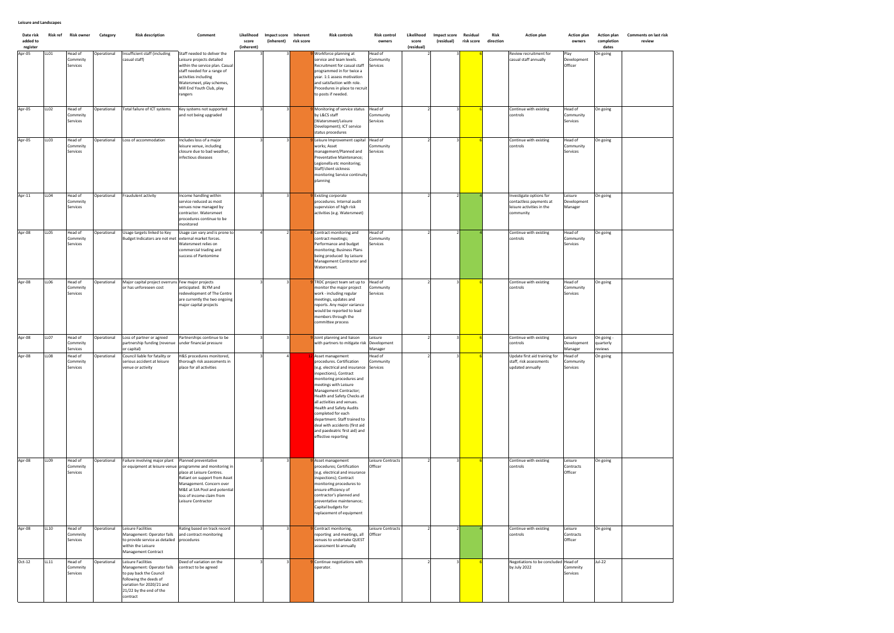| Date risk<br>added to<br>register | <b>Risk ref</b>  | <b>Risk owner</b>               | Category    | <b>Risk description</b>                                                                                                                                                   | Comment                                                                                                                                                                                                                                                         | Likelihood<br>score<br>(inherent) | Impact score<br>(inherent) risk score | Inherent | <b>Risk controls</b>                                                                                                                                                                                                                                                                                                                                                                                                              | <b>Risk control</b><br>owners     | Likelihood<br>score<br>(residual) | Impact score<br>(residual) | Residual<br>risk score | Risk<br>direction | <b>Action plan</b>                                                                          | <b>Action plan</b><br>owners      | <b>Action plan</b><br>completion<br>dates | <b>Comments on last risk</b><br>review |
|-----------------------------------|------------------|---------------------------------|-------------|---------------------------------------------------------------------------------------------------------------------------------------------------------------------------|-----------------------------------------------------------------------------------------------------------------------------------------------------------------------------------------------------------------------------------------------------------------|-----------------------------------|---------------------------------------|----------|-----------------------------------------------------------------------------------------------------------------------------------------------------------------------------------------------------------------------------------------------------------------------------------------------------------------------------------------------------------------------------------------------------------------------------------|-----------------------------------|-----------------------------------|----------------------------|------------------------|-------------------|---------------------------------------------------------------------------------------------|-----------------------------------|-------------------------------------------|----------------------------------------|
| Apr-05                            | LL01             | Head of<br>Commnity<br>Services | Operational | nsufficient staff (including<br>casual staff)                                                                                                                             | Staff needed to deliver the<br>Leisure projects detailed<br>within the service plan. Casua<br>staff needed for a range of<br>activities including<br>Watersmeet, play schemes,<br>Mill End Youth Club, play<br>rangers                                          |                                   |                                       |          | Workforce planning at<br>service and team levels.<br>Recruitment for casual staff<br>programmed in for twice a<br>ear. 1:1 assess motivation<br>and satisfaction with role.<br>Procedures in place to recruit<br>to posts if needed.                                                                                                                                                                                              | lead of<br>Community<br>Services  |                                   |                            |                        |                   | Review recruitment for<br>casual staff annually                                             | Play<br>Development<br>Officer    | On going                                  |                                        |
| Apr-05                            | LLO <sub>2</sub> | Head of<br>Commnity<br>Services | Operational | Total failure of ICT systems                                                                                                                                              | Key systems not supported<br>and not being upgraded                                                                                                                                                                                                             |                                   |                                       |          | Monitoring of service status<br>by L&CS staff<br>Watersmeet/Leisure<br>Development); ICT service<br>status procedures                                                                                                                                                                                                                                                                                                             | Head of<br>Community<br>Services  |                                   |                            |                        |                   | Continue with existing<br>controls                                                          | Head of<br>Community<br>Services  | On going                                  |                                        |
| Apr-05                            | LLO3             | Head of<br>Commnity<br>Services | Operational | Loss of accommodation                                                                                                                                                     | Includes loss of a major<br>leisure venue, including<br>closure due to bad weather,<br>infectious diseases                                                                                                                                                      |                                   |                                       |          | eisure Improvement capital<br>vorks; Asset<br>management/Planned and<br>reventative Maintenance;<br>egionella etc monitoring;<br>Staff/client sickness<br>monitoring Service continuity<br>planning                                                                                                                                                                                                                               | Head of<br>Community<br>Services  |                                   |                            |                        |                   | Continue with existing<br>controls                                                          | Head of<br>Community<br>Services  | On going                                  |                                        |
| Apr-11                            | LL04             | Head of<br>Commnity<br>Services | Operational | Fraudulent activity                                                                                                                                                       | Income handling within<br>service reduced as most<br>venues now managed by<br>contractor. Watersmeet<br>procedures continue to be<br>monitored                                                                                                                  |                                   |                                       |          | Existing corporate<br>procedures. Internal audit<br>supervision of high risk<br>activities (e.g. Watersmeet)                                                                                                                                                                                                                                                                                                                      |                                   |                                   |                            |                        |                   | nvestigate options for<br>contactless payments at<br>leisure activities in the<br>community | Leisure<br>Development<br>Manager | On going                                  |                                        |
| Apr-08                            | <b>LL05</b>      | Head of<br>Commnity<br>Services | Operational | Jsage targets linked to Key<br>Budget Indicators are not met                                                                                                              | Usage can vary and is prone to<br>external market forces.<br>Watersmeet relies on<br>commercial trading and<br>success of Pantomime                                                                                                                             |                                   |                                       |          | Contract monitoring and<br>ontract meetings;<br>Performance and budget<br>monitoring; Business Plans<br>peing produced by Leisure<br>Management Contractor and<br>Watersmeet.                                                                                                                                                                                                                                                     | -lead of<br>Community<br>Services |                                   |                            |                        |                   | Continue with existing<br>controls                                                          | Head of<br>Community<br>Services  | On going                                  |                                        |
| Apr-08                            | <b>LL06</b>      | Head of<br>Commnity<br>Services | Operational | Major capital project overruns<br>or has unforeseen cost                                                                                                                  | Few major projects<br>anticipated. BLYM and<br>redevelopment of The Centre<br>are currently the two ongoing<br>major capital projects                                                                                                                           |                                   |                                       |          | TRDC project team set up to<br>nonitor the major project<br>work - including regular<br>neetings, updates and<br>eports. Any major variance<br>would be reported to lead<br>nembers through the<br>committee process                                                                                                                                                                                                              | Head of<br>Community<br>Services  |                                   |                            |                        |                   | Continue with existing<br>controls                                                          | Head of<br>Community<br>Services  | On going                                  |                                        |
| Apr-08                            | LL07             | Head of<br>Commnity<br>Services | Operational | Loss of partner or agreed<br>partnership funding (revenue<br>or capital)                                                                                                  | Partnerships continue to be<br>under financial pressure                                                                                                                                                                                                         |                                   |                                       |          | Joint planning and liaison<br>with partners to mitigate risk                                                                                                                                                                                                                                                                                                                                                                      | eisure<br>Development<br>Manager  |                                   |                            |                        |                   | Continue with existing<br>controls                                                          | Leisure<br>Development<br>Manager | On going<br>quarterly<br>reviews          |                                        |
| Apr-08                            | LLO8             | Head of<br>Commnity<br>Services | Operational | Council liable for fatality or<br>serious accident at leisure<br>venue or activity                                                                                        | H&S procedures monitored,<br>thorough risk assessments in<br>place for all activities                                                                                                                                                                           |                                   |                                       |          | Asset management<br>procedures. Certification<br>(e.g. electrical and insurance<br>nspections), Contract<br>monitoring procedures and<br>neetings with Leisure<br>Management Contractor;<br>lealth and Safety Checks at<br>all activities and venues.<br>Health and Safety Audits<br>completed for each<br>department. Staff trained to<br>deal with accidents (first aid<br>and paedeatric first aid) and<br>effective reporting | lead of<br>Community<br>Services  |                                   |                            |                        |                   | Update first aid training for<br>staff, risk assessments<br>updated annually                | lead of<br>Community<br>Services  | On going                                  |                                        |
| Apr-08                            | LL09             | Head of<br>Commnity<br>Services | Operational | Failure involving major plant                                                                                                                                             | Planned preventative<br>or equipment at leisure venue programme and monitoring in<br>place at Leisure Centres.<br>Reliant on support from Asset<br>Management. Concern over<br>M&E at SJA Pool and potential<br>loss of income claim from<br>Leisure Contractor |                                   |                                       |          | Asset management<br>procedures; Certification<br>e.g. electrical and insurance<br>nspections); Contract<br>monitoring procedures to<br>ensure efficiency of<br>contractor's planned and<br>preventative maintenance;<br>Capital budgets for<br>eplacement of equipment                                                                                                                                                            | Leisure Contracts<br>Officer      |                                   |                            |                        |                   | Continue with existing<br>controls                                                          | Leisure<br>Contracts<br>Officer   | On going                                  |                                        |
| Apr-08                            | LL10             | Head of<br>Commnity<br>Services | Operational | Leisure Facilities<br>Management: Operator fails<br>to provide service as detailed<br>within the Leisure<br>Management Contract                                           | Rating based on track record<br>and contract monitoring<br>procedures                                                                                                                                                                                           |                                   |                                       |          | Contract monitoring,<br>reporting and meetings, all<br>enues to undertake QUEST<br>assessment bi-annually                                                                                                                                                                                                                                                                                                                         | eisure Contracts<br>Officer       |                                   |                            |                        |                   | Continue with existing<br>controls                                                          | Leisure<br>Contracts<br>Officer   | On going                                  |                                        |
| $Oct-12$                          | LL11             | Head of<br>Commnity<br>Services | Operational | Leisure Facilities<br>Management: Operator fails<br>to pay back the Council<br>following the deeds of<br>variation for 2020/21 and<br>21/22 by the end of the<br>contract | Deed of variation on the<br>contract to be agreed                                                                                                                                                                                                               |                                   |                                       |          | Continue negotiations with<br>operator.                                                                                                                                                                                                                                                                                                                                                                                           |                                   |                                   |                            |                        |                   | Negotiations to be concluded Head of<br>by July 2022                                        | Commnity<br>Services              | Jul-22                                    |                                        |

### **Leisure and Landscapes**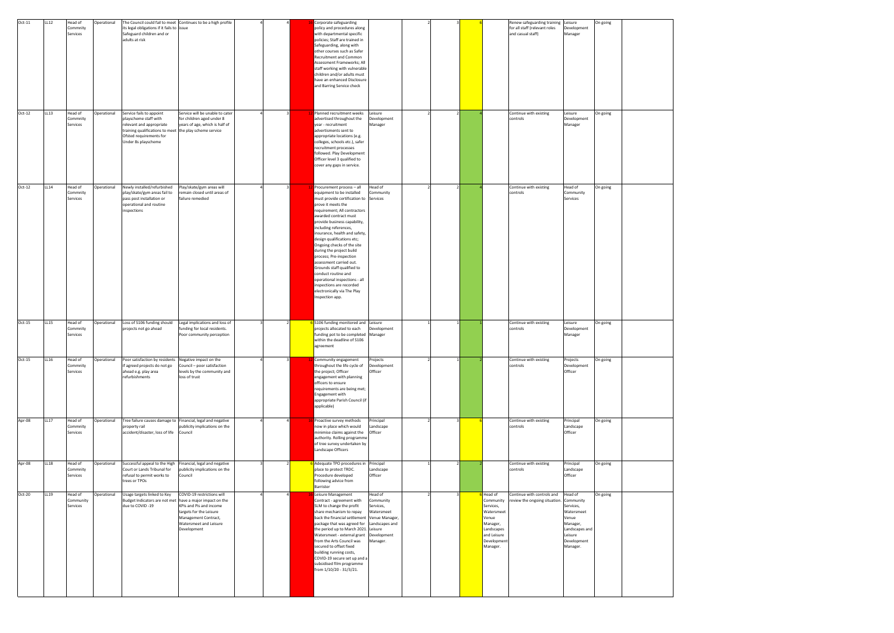| Oct-11   | LL12        | Head of<br>Commnity<br>Services  | Operational | The Council could fail to meet Continues to be a high profile<br>its legal obligations if it fails to issue<br>Safeguard children and or<br>adults at risk         |                                                                                                                                                                                 |  | Corporate safeguarding<br>policy and procedures along<br>with departmental specific<br>policies; Staff are trained in<br>Safeguarding, along with<br>other courses such as Safer<br>Recruitment and Common<br>Assessment Frameworks; All<br>staff working with vulnerable<br>children and/or adults must<br>have an enhanced Disclosure<br>and Barring Service check                                                                                                                                                                                                                        |                                                             |  |                                                                                                                             | Renew safeguarding training<br>for all staff (relevant roles<br>and casual staff) | Leisure<br>Development<br>Manager                                                                                            | On going |  |
|----------|-------------|----------------------------------|-------------|--------------------------------------------------------------------------------------------------------------------------------------------------------------------|---------------------------------------------------------------------------------------------------------------------------------------------------------------------------------|--|---------------------------------------------------------------------------------------------------------------------------------------------------------------------------------------------------------------------------------------------------------------------------------------------------------------------------------------------------------------------------------------------------------------------------------------------------------------------------------------------------------------------------------------------------------------------------------------------|-------------------------------------------------------------|--|-----------------------------------------------------------------------------------------------------------------------------|-----------------------------------------------------------------------------------|------------------------------------------------------------------------------------------------------------------------------|----------|--|
| $Oct-12$ | LL 13       | Head of<br>Commnity<br>Services  | Operational | Service fails to appoint<br>playscheme staff with<br>relevant and appropriate<br>training qualifications to meet<br>Ofsted requirements for<br>Under 8s playscheme | Service will be unable to cater<br>for children aged under 8<br>years of age, which is half of<br>the play scheme service                                                       |  | Planned recruitment weeks<br>advertised throughout the<br>year - recruitment<br>advertisments sent to<br>appropriate locations (e.g.<br>colleges, schools etc.), safer<br>recruitment processes<br>followed. Play Development<br>Officer level 3 qualified to<br>cover any gaps in service.                                                                                                                                                                                                                                                                                                 | Leisure<br>Development<br>Manager                           |  |                                                                                                                             | Continue with existing<br>controls                                                | Leisure<br>Development<br>Manager                                                                                            | On going |  |
| $Oct-12$ | LL14        | Head of<br>Commnity<br>Services  | Operational | Newly installed/refurbished<br>play/skate/gym areas fail to<br>pass post installation or<br>operational and routine<br>inspections                                 | Play/skate/gym areas will<br>remain closed until areas of<br>failure remedied                                                                                                   |  | Procurement process - all<br>equipment to be installed<br>must provide certification to Services<br>prove it meets the<br>requirement; All contractors<br>awarded contract must<br>provide business capability,<br>including references,<br>insurance, health and safety,<br>design qualifications etc;<br>Ongoing checks of the site<br>during the project build<br>process; Pre-inspection<br>assessment carried out.<br>Grounds staff qualified to<br>conduct routine and<br>operational inspections - all<br>inspections are recorded<br>electronically via The Play<br>Inspection app. | Head of<br>Community                                        |  |                                                                                                                             | Continue with existing<br>controls                                                | Head of<br>Community<br>Services                                                                                             | On going |  |
| $Oct-15$ | LL15        | Head of<br>Commnity<br>Services  | Operational | Loss of S106 funding should<br>projects not go ahead                                                                                                               | Legal implications and loss of<br>funding for local residents.<br>Poor community perception                                                                                     |  | 6 S106 funding monitored and Leisure<br>projects allocated to each<br>funding pot to be completed Manager<br>within the deadline of S106<br>agreement                                                                                                                                                                                                                                                                                                                                                                                                                                       | Development                                                 |  |                                                                                                                             | Continue with existing<br>controls                                                | Leisure<br>Development<br>Manager                                                                                            | On going |  |
| Oct-15   | LL16        | Head of<br>Commnity<br>Services  | Operational | Poor satisfaction by residents Negative impact on the<br>if agreed projects do not go<br>ahead e.g. play area<br>refurbishments                                    | Council - poor satisfaction<br>levels by the community and<br>loss of trust                                                                                                     |  | Community engagement<br>throughout the life cycle of<br>the project; Officer<br>engagement with planning<br>officers to ensure<br>requirements are being met;<br>Engagement with<br>appropriate Parish Council (if<br>applicable)                                                                                                                                                                                                                                                                                                                                                           | Projects<br>Development<br>Officer                          |  |                                                                                                                             | Continue with existing<br>controls                                                | Projects<br>Development<br>Officer                                                                                           | On going |  |
| Apr-08   | <b>LL17</b> | Head of<br>Commnity<br>Services  | Operational | Tree failure causes damage to<br>property rail<br>accident/disaster, loss of life                                                                                  | Financial, legal and negative<br>publicity implications on the<br>Council                                                                                                       |  | Proactive survey methods<br>now in place which would<br>minimise claims against the<br>authority. Rolling programme<br>of tree survey undertaken by<br>Landscape Officers                                                                                                                                                                                                                                                                                                                                                                                                                   | Principal<br>Landscape<br>Officer                           |  |                                                                                                                             | Continue with existing<br>controls                                                | Principal<br>Landscape<br>Officer                                                                                            | On going |  |
| Apr-08   | LL18        | Head of<br>Commnity<br>Services  | Operational | Successful appeal to the High<br>Court or Lands Tribunal for<br>refusal to permit works to<br>trees or TPOs                                                        | Financial, legal and negative<br>publicity implications on the<br>Council                                                                                                       |  | Adequate TPO procedures in Principal<br>place to protect TRDC.<br>Procedure developed<br>following advice from<br>Barrister                                                                                                                                                                                                                                                                                                                                                                                                                                                                 | Landscape<br>Officer                                        |  |                                                                                                                             | Continue with existing<br>controls                                                | Principal<br>Landscape<br>Officer                                                                                            | On going |  |
| Oct-20   | LL19        | Head of<br>Community<br>Services | Operational | Usage targets linked to Key<br>Budget Indicators are not met<br>due to COVID-19                                                                                    | COVID-19 restrictions will<br>have a major impact on the<br>KPIs and Pis and income<br>targets for the Leisure<br>Management Contract,<br>Watersmeet and Leisure<br>Development |  | Leisure Management<br>Contract - agreement with<br>SLM to change the profit<br>share mechanism to repay<br>back the financial settlement Venue Manager,<br>package that was agreed for Landscapes and<br>the period up to March 2021. Leisure<br>from the Arts Council was<br>secured to offset fixed<br>building running costs,<br>COVID-19 secure set up and a<br>subsidised film programme<br>from 1/10/20 - 31/3/21.                                                                                                                                                                    | Head of<br>Community<br>Services,<br>Watersmeet<br>Manager. |  | Head of<br>Community<br>Services,<br>Watersmeet<br>Venue<br>Manager,<br>Landscapes<br>and Leisure<br>Developmer<br>Manager. | Continue with controls and<br>review the ongoing situation.                       | Head of<br>Community<br>Services,<br>Watersmeet<br>Venue<br>Manager,<br>Landscapes and<br>Leisure<br>Development<br>Manager. | On going |  |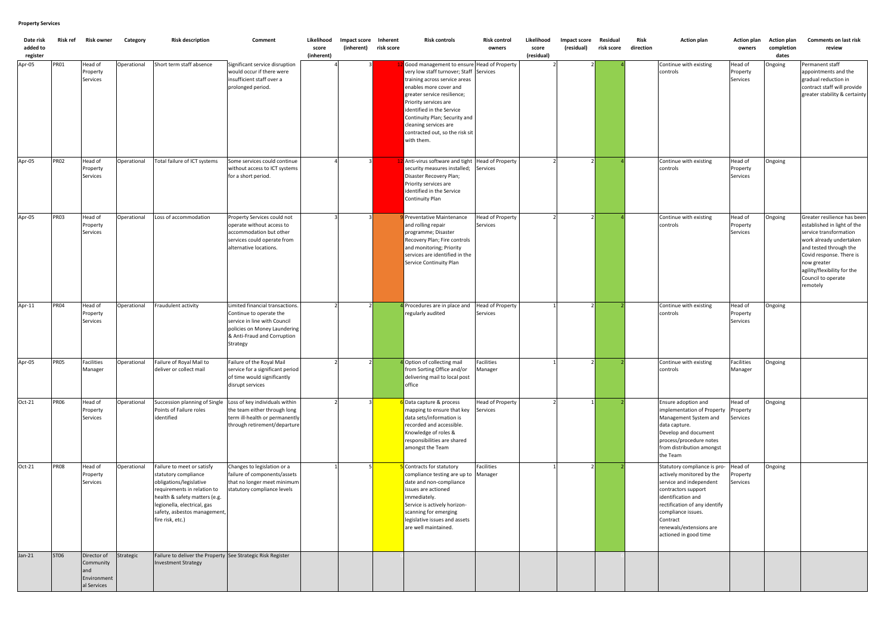| Date risk<br>added to<br>register | Risk ref    | <b>Risk owner</b>                                             | Category    | <b>Risk description</b>                                                                                                                                                                                                          | Comment                                                                                                                                                               | Likelihood<br>score<br>(inherent) | Impact score Inherent<br>(inherent) | risk score | <b>Risk controls</b>                                                                                                                                                                                                                                                                                                                    | <b>Risk control</b><br>owners              | Likelihood<br>score<br>(residual) | Impact score<br>(residual) | Residual<br>risk score | Risk<br>direction | <b>Action plan</b>                                                                                                                                                                                                                                       | Action plan<br>owners           | <b>Action plan</b><br>completion<br>dates | <b>Comments on last risk</b><br>review                                                                                                                                                                                                                |
|-----------------------------------|-------------|---------------------------------------------------------------|-------------|----------------------------------------------------------------------------------------------------------------------------------------------------------------------------------------------------------------------------------|-----------------------------------------------------------------------------------------------------------------------------------------------------------------------|-----------------------------------|-------------------------------------|------------|-----------------------------------------------------------------------------------------------------------------------------------------------------------------------------------------------------------------------------------------------------------------------------------------------------------------------------------------|--------------------------------------------|-----------------------------------|----------------------------|------------------------|-------------------|----------------------------------------------------------------------------------------------------------------------------------------------------------------------------------------------------------------------------------------------------------|---------------------------------|-------------------------------------------|-------------------------------------------------------------------------------------------------------------------------------------------------------------------------------------------------------------------------------------------------------|
| Apr-05                            | <b>PR01</b> | Head of<br>Property<br>Services                               | Operational | Short term staff absence                                                                                                                                                                                                         | Significant service disruption<br>would occur if there were<br>insufficient staff over a<br>prolonged period.                                                         |                                   |                                     |            | Good management to ensure Head of Property<br>very low staff turnover; Staff<br>training across service areas<br>enables more cover and<br>greater service resilience;<br>Priority services are<br>identified in the Service<br>Continuity Plan; Security and<br>cleaning services are<br>contracted out, so the risk sit<br>with them. | Services                                   |                                   |                            |                        |                   | Continue with existing<br>controls                                                                                                                                                                                                                       | Head of<br>Property<br>Services | Ongoing                                   | Permanent staff<br>appointments and the<br>gradual reduction in<br>contract staff will provide<br>greater stability & certainty                                                                                                                       |
| Apr-05                            | <b>PR02</b> | Head of<br>Property<br>Services                               | Operational | Total failure of ICT systems                                                                                                                                                                                                     | Some services could continue<br>without access to ICT systems<br>for a short period.                                                                                  |                                   |                                     |            | Anti-virus software and tight<br>security measures installed;<br>Disaster Recovery Plan;<br>Priority services are<br>identified in the Service<br>Continuity Plan                                                                                                                                                                       | <b>Head of Property</b><br>Services        |                                   |                            |                        |                   | Continue with existing<br>controls                                                                                                                                                                                                                       | Head of<br>Property<br>Services | Ongoing                                   |                                                                                                                                                                                                                                                       |
| Apr-05                            | <b>PR03</b> | Head of<br>Property<br>Services                               | Operational | Loss of accommodation                                                                                                                                                                                                            | Property Services could not<br>operate without access to<br>accommodation but other<br>services could operate from<br>alternative locations.                          |                                   |                                     |            | Preventative Maintenance<br>and rolling repair<br>programme; Disaster<br>Recovery Plan; Fire controls<br>and monitoring; Priority<br>services are identified in the<br>Service Continuity Plan                                                                                                                                          | <b>Head of Property</b><br><b>Services</b> |                                   |                            |                        |                   | Continue with existing<br>controls                                                                                                                                                                                                                       | Head of<br>Property<br>Services | Ongoing                                   | Greater resilience has been<br>established in light of the<br>service transformation<br>work already undertaken<br>and tested through the<br>Covid response. There is<br>now greater<br>agility/flexibility for the<br>Council to operate<br>remotely |
| Apr-11                            | <b>PR04</b> | Head of<br>Property<br>Services                               | Operational | Fraudulent activity                                                                                                                                                                                                              | Limited financial transactions.<br>Continue to operate the<br>service in line with Council<br>policies on Money Laundering<br>& Anti-Fraud and Corruption<br>Strategy |                                   |                                     |            | Procedures are in place and<br>regularly audited                                                                                                                                                                                                                                                                                        | <b>Head of Property</b><br>Services        |                                   |                            |                        |                   | Continue with existing<br>controls                                                                                                                                                                                                                       | Head of<br>Property<br>Services | Ongoing                                   |                                                                                                                                                                                                                                                       |
| Apr-05                            | <b>PR05</b> | Facilities<br>Manager                                         | Operational | Failure of Royal Mail to<br>deliver or collect mail                                                                                                                                                                              | Failure of the Royal Mail<br>service for a significant period<br>of time would significantly<br>disrupt services                                                      |                                   |                                     |            | 4 Option of collecting mail<br>from Sorting Office and/or<br>delivering mail to local post<br>office                                                                                                                                                                                                                                    | <b>Facilities</b><br>Manager               |                                   |                            |                        |                   | Continue with existing<br>controls                                                                                                                                                                                                                       | Facilities<br>Manager           | Ongoing                                   |                                                                                                                                                                                                                                                       |
| Oct-21                            | <b>PR06</b> | Head of<br>Property<br>Services                               | Operational | Succession planning of Single<br>Points of Failure roles<br>identified                                                                                                                                                           | Loss of key individuals within<br>the team either through long<br>term ill-health or permanently<br>through retirement/departure                                      |                                   |                                     |            | Data capture & process<br>mapping to ensure that key<br>data sets/information is<br>recorded and accessible.<br>Knowledge of roles &<br>responsibilities are shared<br>amongst the Team                                                                                                                                                 | <b>Head of Property</b><br>Services        |                                   |                            |                        |                   | Ensure adoption and<br>implementation of Property<br>Management System and<br>data capture.<br>Develop and document<br>process/procedure notes<br>from distribution amongst<br>the Team                                                                  | Head of<br>Property<br>Services | Ongoing                                   |                                                                                                                                                                                                                                                       |
| Oct-21                            | <b>PR08</b> | Head of<br>Property<br>Services                               | Operational | Failure to meet or satisfy<br>statutory compliance<br>obligations/legislative<br>requirements in relation to<br>health & safety matters (e.g.<br>legionella, electrical, gas<br>safety, asbestos management,<br>fire risk, etc.) | Changes to legislation or a<br>failure of components/assets<br>that no longer meet minimum<br>statutory compliance levels                                             |                                   |                                     |            | Contracts for statutory<br>compliance testing are up to Manager<br>date and non-compliance<br>ssues are actioned<br>mmediately.<br>Service is actively horizon-<br>scanning for emerging<br>legislative issues and assets<br>are well maintained.                                                                                       | <b>Facilities</b>                          |                                   |                            |                        |                   | Statutory compliance is pro-<br>actively monitored by the<br>service and independent<br>contractors support<br>identification and<br>rectification of any identify<br>compliance issues.<br>Contract<br>renewals/extensions are<br>actioned in good time | Head of<br>Property<br>Services | Ongoing                                   |                                                                                                                                                                                                                                                       |
| $Jan-21$                          | ST06        | Director of<br>Community<br>and<br>Environment<br>al Services | Strategic   | Failure to deliver the Property See Strategic Risk Register<br><b>Investment Strategy</b>                                                                                                                                        |                                                                                                                                                                       |                                   |                                     |            |                                                                                                                                                                                                                                                                                                                                         |                                            |                                   |                            |                        |                   |                                                                                                                                                                                                                                                          |                                 |                                           |                                                                                                                                                                                                                                                       |

# **Property Services**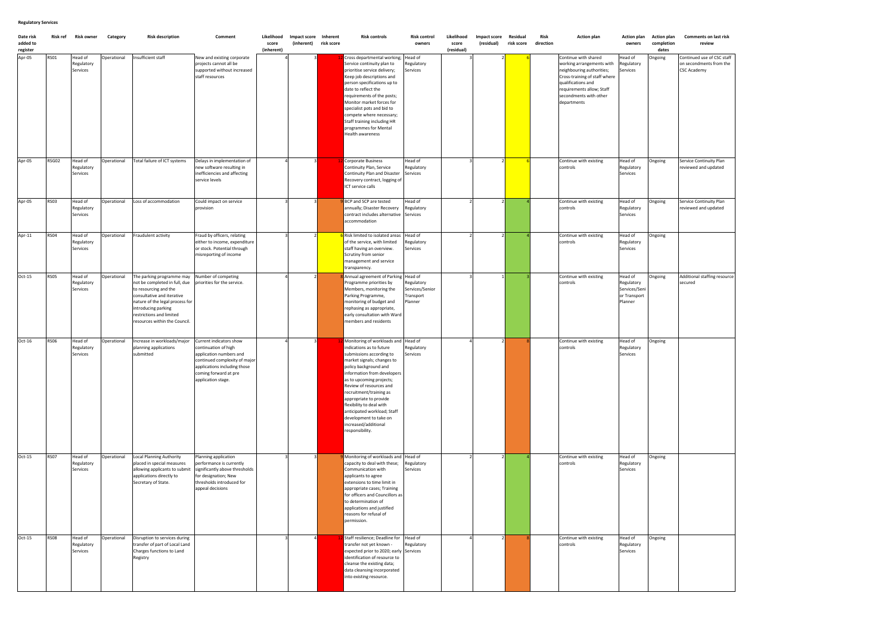### **Action plan Comments on last risk review**

| Date risk<br>added to<br>register | Risk ref    | Risk owner                        | Category    | <b>Risk description</b>                                                                                                                                                                                                                  | Comment                                                                                                                                                                                    | Likelihood<br>score<br>(inherent) | Impact score Inherent<br>(inherent) | risk score | <b>Risk controls</b>                                                                                                                                                                                                                                                                                                                                                                                                          | <b>Risk control</b><br>owners                         | Likelihood<br>score<br>(residual) | <b>Impact score</b><br>(residual) | Residual<br>risk score | Risk<br>direction | <b>Action plan</b>                                                                                                                                                                                          | <b>Action plan</b><br>owners                                      | <b>Action plan</b><br>completion<br>dates | Comment<br>re                                  |
|-----------------------------------|-------------|-----------------------------------|-------------|------------------------------------------------------------------------------------------------------------------------------------------------------------------------------------------------------------------------------------------|--------------------------------------------------------------------------------------------------------------------------------------------------------------------------------------------|-----------------------------------|-------------------------------------|------------|-------------------------------------------------------------------------------------------------------------------------------------------------------------------------------------------------------------------------------------------------------------------------------------------------------------------------------------------------------------------------------------------------------------------------------|-------------------------------------------------------|-----------------------------------|-----------------------------------|------------------------|-------------------|-------------------------------------------------------------------------------------------------------------------------------------------------------------------------------------------------------------|-------------------------------------------------------------------|-------------------------------------------|------------------------------------------------|
| Apr-05                            | <b>RS01</b> | Head of<br>Regulatory<br>Services | Operational | Insufficient staff                                                                                                                                                                                                                       | New and existing corporate<br>projects cannot all be<br>supported without increased<br>staff resources                                                                                     |                                   |                                     |            | Cross departmental working;<br>Service continuity plan to<br>prioritise service delivery;<br>Keep job descriptions and<br>person specifications up to<br>date to reflect the<br>requirements of the posts;<br>Monitor market forces for<br>specialist pots and bid to<br>compete where necessary;<br>Staff training including HR<br>programmes for Mental<br>Health awareness                                                 | Head of<br>Regulatory<br>Services                     |                                   |                                   |                        |                   | Continue with shared<br>working arrangements with<br>neighbouring authorities;<br>Cross-training of staff where<br>qualifications and<br>requirements allow; Staff<br>secondments with other<br>departments | Head of<br>Regulatory<br>Services                                 | Ongoing                                   | Continued u<br>on secondm<br><b>CSC Academ</b> |
| Apr-05                            | RSG02       | Head of<br>Regulatory<br>Services | Operational | Total failure of ICT systems                                                                                                                                                                                                             | Delays in implementation of<br>new software resulting in<br>inefficiencies and affecting<br>service levels                                                                                 |                                   |                                     |            | <b>Corporate Business</b><br>Continuity Plan, Service<br>Continuity Plan and Disaster<br>Recovery contract, logging of<br>ICT service calls                                                                                                                                                                                                                                                                                   | Head of<br>Regulatory<br>Services                     |                                   |                                   |                        |                   | Continue with existing<br>controls                                                                                                                                                                          | Head of<br>Regulatory<br>Services                                 | Ongoing                                   | Service Cont<br>reviewed an                    |
| Apr-05                            | <b>RS03</b> | Head of<br>Regulatory<br>Services | Operational | Loss of accommodation                                                                                                                                                                                                                    | Could impact on service<br>provision                                                                                                                                                       |                                   |                                     |            | BCP and SCP are tested<br>annually; Disaster Recovery<br>contract includes alternative<br>accommodation                                                                                                                                                                                                                                                                                                                       | Head of<br>Regulatory<br>Services                     |                                   |                                   |                        |                   | Continue with existing<br>controls                                                                                                                                                                          | Head of<br>Regulatory<br>Services                                 | Ongoing                                   | Service Cont<br>reviewed an                    |
| Apr-11                            | <b>RS04</b> | Head of<br>Regulatory<br>Services | Operational | Fraudulent activity                                                                                                                                                                                                                      | Fraud by officers, relating<br>either to income, expenditure<br>or stock. Potential through<br>misreporting of income                                                                      |                                   |                                     |            | Risk limited to isolated areas<br>of the service, with limited<br>staff having an overview.<br>Scrutiny from senior<br>management and service<br>transparency.                                                                                                                                                                                                                                                                | Head of<br>Regulatory<br>Services                     |                                   |                                   |                        |                   | Continue with existing<br>controls                                                                                                                                                                          | Head of<br>Regulatory<br>Services                                 | Ongoing                                   |                                                |
| Oct-15                            | <b>RS05</b> | Head of<br>Regulatory<br>Services | Operational | The parking programme may<br>not be completed in full, due<br>to resourcing and the<br>consultative and iterative<br>nature of the legal process for<br>introducing parking<br>restrictions and limited<br>resources within the Council. | Number of competing<br>priorities for the service.                                                                                                                                         |                                   |                                     |            | Annual agreement of Parking Head of<br>Programme priorities by<br>Members, monitoring the<br>Parking Programme,<br>monitoring of budget and<br>rephasing as appropriate,<br>early consultation with Ward<br>members and residents                                                                                                                                                                                             | Regulatory<br>Services/Senior<br>Transport<br>Planner |                                   |                                   |                        |                   | Continue with existing<br>controls                                                                                                                                                                          | Head of<br>Regulatory<br>Services/Seni<br>or Transport<br>Planner | Ongoing                                   | <b>Additional st</b><br>secured                |
| Oct-16                            | <b>RS06</b> | Head of<br>Regulatory<br>Services | Operational | Increase in workloads/major<br>planning applications<br>submitted                                                                                                                                                                        | Current indicators show<br>continuation of high<br>application numbers and<br>continued complexity of major<br>applications including those<br>coming forward at pre<br>application stage. |                                   |                                     |            | Monitoring of workloads and Head of<br>indications as to future<br>submissions according to<br>market signals; changes to<br>policy background and<br>information from developers<br>as to upcoming projects;<br>Review of resources and<br>recruitment/training as<br>appropriate to provide<br>flexibility to deal with<br>anticipated workload; Staff<br>development to take on<br>increased/additional<br>responsibility. | Regulatory<br>Services                                |                                   |                                   |                        |                   | Continue with existing<br>controls                                                                                                                                                                          | Head of<br>Regulatory<br>Services                                 | Ongoing                                   |                                                |
| Oct-15                            | <b>RS07</b> | Head of<br>Regulatory<br>Services | Operational | Local Planning Authority<br>placed in special measures<br>allowing applicants to submit<br>applications directly to<br>Secretary of State.                                                                                               | Planning application<br>performance is currently<br>significantly above thresholds<br>for designation; New<br>thresholds introduced for<br>appeal decisions                                |                                   |                                     |            | Monitoring of workloads and Head of<br>capacity to deal with these;<br>Communication with<br>applicants to agree<br>extensions to time limit in<br>appropriate cases; Training<br>for officers and Councillors as<br>to determination of<br>applications and justified<br>reasons for refusal of<br>permission.                                                                                                               | Regulatory<br>Services                                |                                   |                                   |                        |                   | Continue with existing<br>controls                                                                                                                                                                          | Head of<br>Regulatory<br>Services                                 | Ongoing                                   |                                                |
| Oct-15                            | <b>RS08</b> | Head of<br>Regulatory<br>Services | Operational | Disruption to services during<br>transfer of part of Local Land<br>Charges functions to Land<br>Registry                                                                                                                                 |                                                                                                                                                                                            |                                   |                                     |            | Staff resilience; Deadline for<br>transfer not yet known -<br>expected prior to 2020; early Services<br>identification of resource to<br>cleanse the existing data;<br>data cleansing incorporated<br>into existing resource.                                                                                                                                                                                                 | Head of<br>Regulatory                                 |                                   |                                   |                        |                   | Continue with existing<br>controls                                                                                                                                                                          | Head of<br>Regulatory<br>Services                                 | Ongoing                                   |                                                |

| Ongoing | Continued use of CSC staff              |
|---------|-----------------------------------------|
|         | on secondments from the                 |
|         | CSC Academy                             |
|         |                                         |
|         |                                         |
|         |                                         |
|         |                                         |
|         |                                         |
|         |                                         |
|         |                                         |
|         |                                         |
|         |                                         |
|         |                                         |
| Ongoing | Service Continuity Plan                 |
|         | reviewed and updated                    |
|         |                                         |
|         |                                         |
|         |                                         |
| Ongoing | Service Continuity Plan                 |
|         | reviewed and updated                    |
|         |                                         |
|         |                                         |
|         |                                         |
| Ongoing |                                         |
|         |                                         |
|         |                                         |
|         |                                         |
|         |                                         |
| Ongoing | Additional staffing resource<br>secured |
|         |                                         |
|         |                                         |
|         |                                         |
|         |                                         |
|         |                                         |
|         |                                         |
|         |                                         |
| Ongoing |                                         |
|         |                                         |
|         |                                         |
|         |                                         |
|         |                                         |
|         |                                         |
|         |                                         |
|         |                                         |
|         |                                         |
|         |                                         |
|         |                                         |
|         |                                         |
|         |                                         |
|         |                                         |
| Ongoing |                                         |
|         |                                         |
|         |                                         |
|         |                                         |
|         |                                         |
|         |                                         |
|         |                                         |
|         |                                         |
|         |                                         |
|         |                                         |
| Ongoing |                                         |
|         |                                         |
|         |                                         |
|         |                                         |
|         |                                         |
|         |                                         |
|         |                                         |
|         |                                         |

### **Regulatory Services**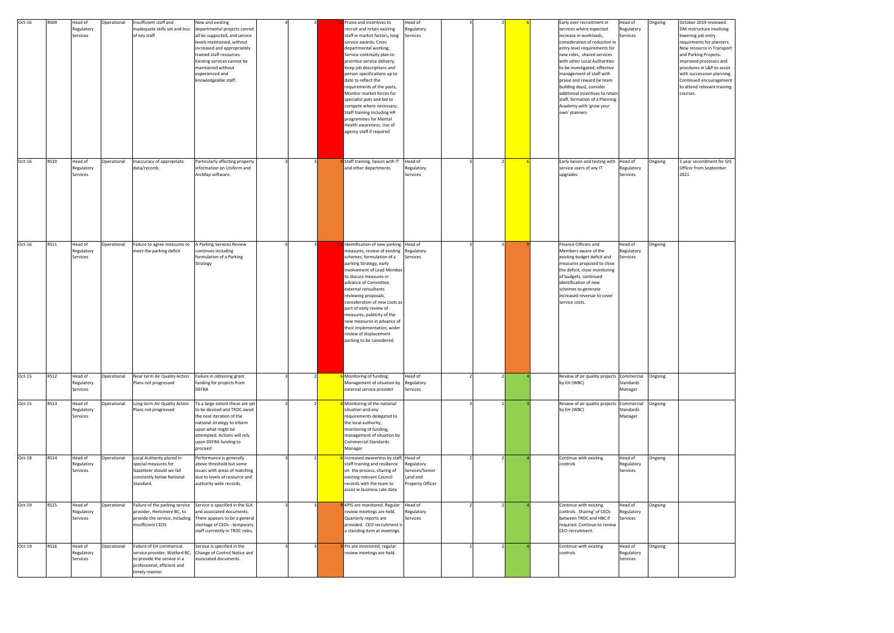| Ongoing | October 2019 reviewed.<br>DM restructure involving<br>lowering job entry<br>requirments for planners.<br>New resource in Transport<br>and Parking Projects.<br>Improved processes and<br>procdures in L&P to assist<br>with successsion planning.<br>Continued encouragement<br>to attend relevant training<br>courses. |
|---------|-------------------------------------------------------------------------------------------------------------------------------------------------------------------------------------------------------------------------------------------------------------------------------------------------------------------------|
| Ongoing | 1 year secondment for GIS<br>Officer from September<br>2021                                                                                                                                                                                                                                                             |
| Ongoing |                                                                                                                                                                                                                                                                                                                         |
| Ongoing |                                                                                                                                                                                                                                                                                                                         |
| Ongoing |                                                                                                                                                                                                                                                                                                                         |
| Ongoing |                                                                                                                                                                                                                                                                                                                         |
| Ongoing |                                                                                                                                                                                                                                                                                                                         |
| Ongoing |                                                                                                                                                                                                                                                                                                                         |

| Oct-16   | <b>RS09</b> | Head of<br>Regulatory<br>Services | Operational | Insufficient staff and<br>inadequate skills set and loss<br>of key staff                                                                 | New and existing<br>departmental projects cannot<br>all be supported, and service<br>levels maintained, without<br>increased and appropriately<br>trained staff resources.<br>Existing services cannot be<br>maintained without<br>experienced and<br>knowledgeable staff. |  | Praise and incentives to<br>recruit and retain existing<br>staff ie market factors, long<br>service awards; Cross<br>departmental working;<br>Service continuity plan to<br>prioritise service delivery;<br>Keep job descriptions and<br>person specifications up to<br>date to reflect the<br>requirements of the posts;<br>Monitor market forces for<br>specialist pots and bid to<br>compete where necessary;<br>Staff training including HR<br>programmes for Mental<br>Health awareness; Use of<br>agency staff if required | Head of<br>Regulatory<br>Services                                        |  |          | Early over recruitment in<br>services where expected<br>increase in workloads,<br>consideration of reduction in<br>entry level requirements for<br>new roles, shared services<br>with other Local Authorities<br>to be investigated, effective<br>management of staff with<br>praise and reward (ie team<br>building days), consider<br>additional incentives to retain<br>staff, formation of a Planning<br>Academy with 'grow your<br>own' planners | Head of<br>Regulatory<br>Services  | Ongoing | October 2019 reviewed.<br>DM restructure involving<br>lowering job entry<br>requirments for planners.<br>New resource in Transport<br>and Parking Projects.<br>Improved processes and<br>procdures in L&P to assist<br>with successsion planning.<br>Continued encouragement<br>to attend relevant training<br>courses. |
|----------|-------------|-----------------------------------|-------------|------------------------------------------------------------------------------------------------------------------------------------------|----------------------------------------------------------------------------------------------------------------------------------------------------------------------------------------------------------------------------------------------------------------------------|--|----------------------------------------------------------------------------------------------------------------------------------------------------------------------------------------------------------------------------------------------------------------------------------------------------------------------------------------------------------------------------------------------------------------------------------------------------------------------------------------------------------------------------------|--------------------------------------------------------------------------|--|----------|-------------------------------------------------------------------------------------------------------------------------------------------------------------------------------------------------------------------------------------------------------------------------------------------------------------------------------------------------------------------------------------------------------------------------------------------------------|------------------------------------|---------|-------------------------------------------------------------------------------------------------------------------------------------------------------------------------------------------------------------------------------------------------------------------------------------------------------------------------|
| Oct-16   | <b>RS10</b> | Head of<br>Regulatory<br>Services | Operational | Inaccuracy of appropriate<br>data/records                                                                                                | Particularly affecting property<br>information on Uniform and<br>ArcMap software.                                                                                                                                                                                          |  | Staff training, liaison with IT<br>and other departments                                                                                                                                                                                                                                                                                                                                                                                                                                                                         | Head of<br>Regulatory<br>Services                                        |  | upgrades | Early liaison and testing with<br>service users of any IT                                                                                                                                                                                                                                                                                                                                                                                             | Head of<br>Regulatory<br>Services  | Ongoing | 1 year secondment for GIS<br>Officer from September<br>2021                                                                                                                                                                                                                                                             |
| $Oct-16$ | <b>RS11</b> | Head of<br>Regulatory<br>Services | Operational | Failure to agree measures to<br>neet the parking deficit                                                                                 | A Parking Services Review<br>continues including<br>formulation of a Parking<br>Strategy                                                                                                                                                                                   |  | Identification of new parking<br>measures, review of existing<br>schemes, formulation of a<br>parking Strategy, early<br>involvement of Lead Member<br>to discuss measures in<br>advance of Committee,<br>external consultants<br>reviewing proposals,<br>consideration of new costs as<br>part of early review of<br>measures, publicity of the<br>new measures in advance of<br>their implementation, wider<br>review of displacement<br>parking to be considered.                                                             | Head of<br>Regulatory<br>Services                                        |  |          | Finance Officers and<br>Members aware of the<br>existing budget deficit and<br>measures proposed to close<br>the deficit, close monitoring<br>of budgets, continued<br>identificaiton of new<br>schemes to generate<br>increased revenue to cover<br>service costs.                                                                                                                                                                                   | Head of<br>Regulatory<br>Services  | Ongoing |                                                                                                                                                                                                                                                                                                                         |
| $Oct-15$ | <b>RS12</b> | Head of<br>Regulatory<br>Services | Operational | Near term Air Quality Action<br>Plans not progressed                                                                                     | Failure in obtaining grant<br>funding for projects from<br><b>DEFRA</b>                                                                                                                                                                                                    |  | Monitoring of funding;<br>Management of situation by<br>external service provider                                                                                                                                                                                                                                                                                                                                                                                                                                                | Head of<br>Regulatory<br>Services                                        |  |          | Review of air quality projects<br>by EH (WBC)                                                                                                                                                                                                                                                                                                                                                                                                         | Commercial<br>Standards<br>Manager | Ongoing |                                                                                                                                                                                                                                                                                                                         |
| Oct-15   | <b>RS13</b> | Head of<br>Regulatory<br>Services | Operational | Long term Air Quality Action<br>Plans not progressed                                                                                     | To a large extent these are yet<br>to be devised and TRDC await<br>the next iteration of the<br>national strategy to inform<br>upon what might be<br>attempted. Actions will rely<br>upon DEFRA funding to<br>proceed                                                      |  | Monitoring of the national<br>situation and any<br>requirements delegated to<br>the local authority,<br>monitoring of funding,<br>management of situation by<br>Commercial Standards<br>Manager                                                                                                                                                                                                                                                                                                                                  |                                                                          |  |          | Review of air quality projects<br>by EH (WBC)                                                                                                                                                                                                                                                                                                                                                                                                         | Commercial<br>Standards<br>Manager | Ongoing |                                                                                                                                                                                                                                                                                                                         |
| Oct-18   | <b>RS14</b> | Head of<br>Regulatory<br>Services | Operational | Local Authority placed in<br>special measures for<br>Gazetteer should we fall<br>constantly below National<br>Standard.                  | Performance is generally<br>above threshold but some<br>issues with areas of matching<br>due to levels of resource and<br>authority wide records.                                                                                                                          |  | Increased awareness by staff,<br>staff training and resilience<br>on the process, sharing of<br>existing relevant Council<br>records with the team to<br>assist ie business rate data                                                                                                                                                                                                                                                                                                                                            | Head of<br>Regulatory<br>Services/Senior<br>Land and<br>Property Officer |  | controls | Continue with existing                                                                                                                                                                                                                                                                                                                                                                                                                                | Head of<br>Regulatory<br>Services  | Ongoing |                                                                                                                                                                                                                                                                                                                         |
| Oct-19   | <b>RS15</b> | Head of<br>Regulatory<br>Services | Operational | Failure of the parking service<br>provider, Hertsmere BC, to<br>provide the service, including<br>insufficient CEOS                      | Service is specified in the SLA<br>and associated documents.<br>There appears to be a general<br>shortage of CEOs - temporary<br>staff currrently in TRDC roles.                                                                                                           |  | KPIS are monitored. Regular<br>review meetings are held.<br>Quarterly reports are<br>provided. CEO recruitment is<br>a standing item at meetings.                                                                                                                                                                                                                                                                                                                                                                                | Head of<br>Regulatory<br>Services                                        |  |          | Continue with existing<br>controls. Sharing' of CEOs<br>between TRDC and HBC if<br>required. Continue to review<br>CEO recruitment.                                                                                                                                                                                                                                                                                                                   | Head of<br>Regulatory<br>Services  | Ongoing |                                                                                                                                                                                                                                                                                                                         |
| Oct-19   | <b>RS16</b> | Head of<br>Regulatory<br>Services | Operational | Failure of EH commerical<br>service provider, Watford BC,<br>to provide the service in a<br>professional, efficient and<br>timely manner | Service is specified in the<br>Change of Control Notice and<br>associated documents.                                                                                                                                                                                       |  | PIs are monitored, regular<br>review meetings are held.                                                                                                                                                                                                                                                                                                                                                                                                                                                                          |                                                                          |  | controls | Continue with existing                                                                                                                                                                                                                                                                                                                                                                                                                                | Head of<br>Regulatory<br>Services  | Ongoing |                                                                                                                                                                                                                                                                                                                         |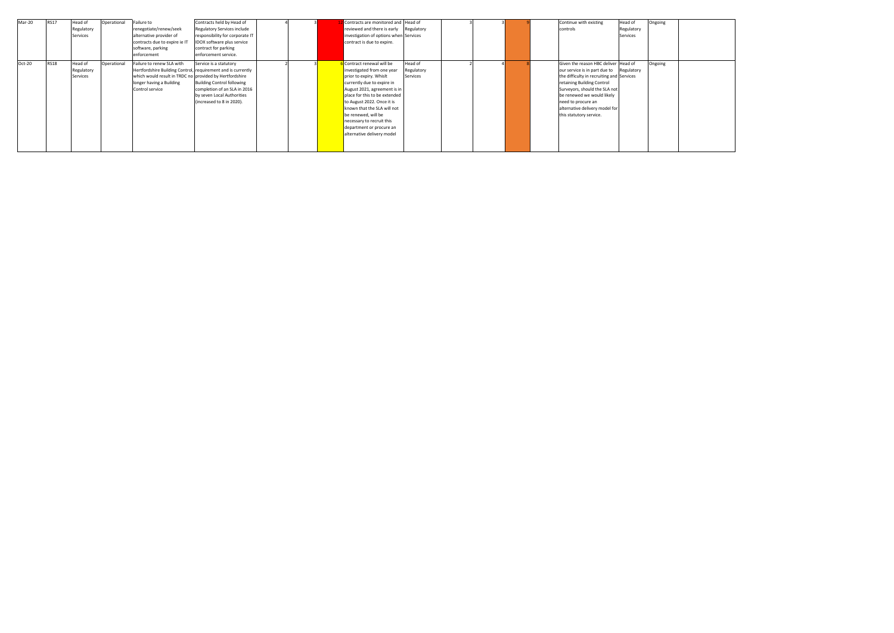| Mar-20 | <b>RS17</b> | Head of<br>Regulatory<br>Services | Operational | Failure to<br>renegotiate/renew/seek<br>alternative provider of<br>contracts due to expire ie IT<br>software, parking<br>enforcement                                                                | Contracts held by Head of<br>Regulatory Services include<br>responsibility for corporate IT<br>IDOX software plus service<br>contract for parking<br>enforcement service. |  | Contracts are monitored and Head of<br>reviewed and there is early<br>investigation of options when Services<br>contract is due to expire.                                                                                                                                                                                                                  | Regulatory                        |  |  | Continue with existing<br>controls                                                                                                                                                                                                                                                                 | Head of<br>Regulatory<br>Services | Ongoing |
|--------|-------------|-----------------------------------|-------------|-----------------------------------------------------------------------------------------------------------------------------------------------------------------------------------------------------|---------------------------------------------------------------------------------------------------------------------------------------------------------------------------|--|-------------------------------------------------------------------------------------------------------------------------------------------------------------------------------------------------------------------------------------------------------------------------------------------------------------------------------------------------------------|-----------------------------------|--|--|----------------------------------------------------------------------------------------------------------------------------------------------------------------------------------------------------------------------------------------------------------------------------------------------------|-----------------------------------|---------|
| Oct-20 | <b>RS18</b> | Head of<br>Regulatory<br>Services | Operational | Failure to renew SLA with<br>Hertfordshire Building Control, requirement and is currently<br>which would result in TRDC no provided by Hertfordshire<br>longer having a Building<br>Control service | Service is a statutory<br><b>Building Control following</b><br>completion of an SLA in 2016<br>by seven Local Authorities<br>(increased to 8 in 2020).                    |  | Contract renewal will be<br>investigated from one year<br>prior to expiry. Whislt<br>currently due to expire in<br>August 2021, agreement is in<br>place for this to be extended<br>to August 2022. Once it is<br>known that the SLA will not<br>be renewed, will be<br>necessary to recruit this<br>department or procure an<br>alternative delivery model | Head of<br>Regulatory<br>Services |  |  | Given the reason HBC deliver Head of<br>our service is in part due to<br>the difficulty in recruiting and Services<br>retaining Building Control<br>Surveyors, should the SLA not<br>be renewed we would likely<br>need to procure an<br>alternative delivery model for<br>this statutory service. | Regulatory                        | Ongoing |

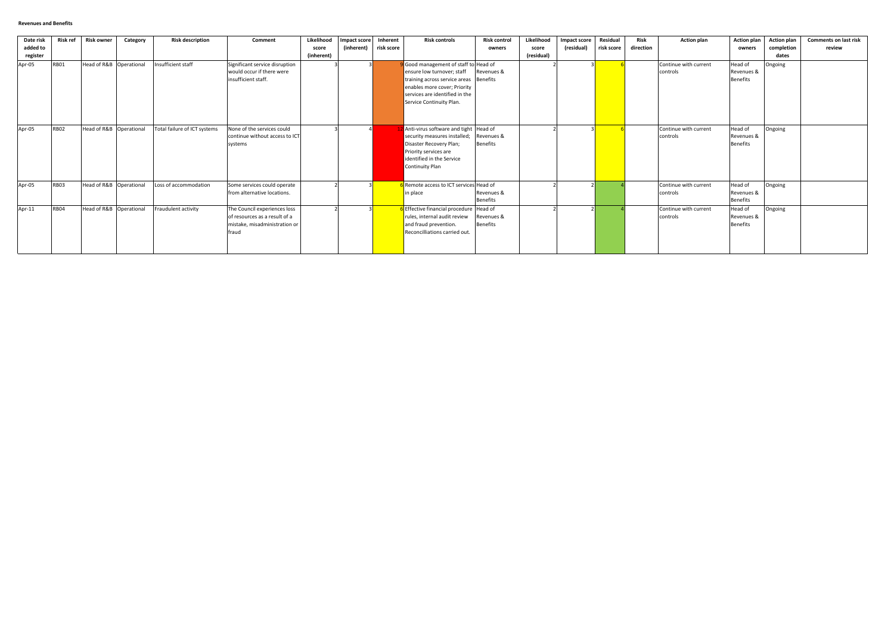| Date risk            | Risk ref    | <b>Risk owner</b>       | Category | <b>Risk description</b>      | Comment                                                                                                 | Likelihood          | <b>Impact score</b> | Inherent   | <b>Risk controls</b>                                                                                                                                                                                      | <b>Risk control</b>           | Likelihood          | Impact score | <b>Residual</b> | Risk      | <b>Action plan</b>                | <b>Action plan</b>                       | <b>Action plan</b>  | <b>Comments on last risk</b> |
|----------------------|-------------|-------------------------|----------|------------------------------|---------------------------------------------------------------------------------------------------------|---------------------|---------------------|------------|-----------------------------------------------------------------------------------------------------------------------------------------------------------------------------------------------------------|-------------------------------|---------------------|--------------|-----------------|-----------|-----------------------------------|------------------------------------------|---------------------|------------------------------|
| added to<br>register |             |                         |          |                              |                                                                                                         | score<br>(inherent) | (inherent)          | risk score |                                                                                                                                                                                                           | owners                        | score<br>(residual) | (residual)   | risk score      | direction |                                   | owners                                   | completion<br>dates | review                       |
| Apr-05               | <b>RB01</b> | Head of R&B Operational |          | Insufficient staff           | Significant service disruption<br>would occur if there were<br>insufficient staff.                      |                     |                     |            | Good management of staff to Head of<br>ensure low turnover; staff<br>training across service areas Benefits<br>enables more cover; Priority<br>services are identified in the<br>Service Continuity Plan. | Revenues &                    |                     |              |                 |           | Continue with current<br>controls | Head of<br>Revenues &<br><b>Benefits</b> | Ongoing             |                              |
| Apr-05               | <b>RB02</b> | Head of R&B Operational |          | Total failure of ICT systems | None of the services could<br>continue without access to ICT<br>systems                                 |                     |                     |            | 12 Anti-virus software and tight   Head of<br>security measures installed;<br>Disaster Recovery Plan;<br>Priority services are<br>identified in the Service<br><b>Continuity Plan</b>                     | Revenues &<br><b>Benefits</b> |                     |              |                 |           | Continue with current<br>controls | Head of<br>Revenues &<br><b>Benefits</b> | Ongoing             |                              |
| Apr-05               | <b>RB03</b> | Head of R&B Operational |          | Loss of accommodation        | Some services could operate<br>from alternative locations.                                              |                     |                     |            | Remote access to ICT services Head of<br>in place                                                                                                                                                         | Revenues &<br><b>Benefits</b> |                     |              |                 |           | Continue with current<br>controls | Head of<br>Revenues &<br><b>Benefits</b> | Ongoing             |                              |
| Apr-11               | <b>RB04</b> | Head of R&B Operational |          | Fraudulent activity          | The Council experiences loss<br>of resources as a result of a<br>mistake, misadministration or<br>fraud |                     |                     |            | 6 Effective financial procedure   Head of<br>rules, internal audit review<br>and fraud prevention.<br>Reconcilliations carried out.                                                                       | Revenues &<br><b>Benefits</b> |                     |              |                 |           | Continue with current<br>controls | Head of<br>Revenues &<br><b>Benefits</b> | Ongoing             |                              |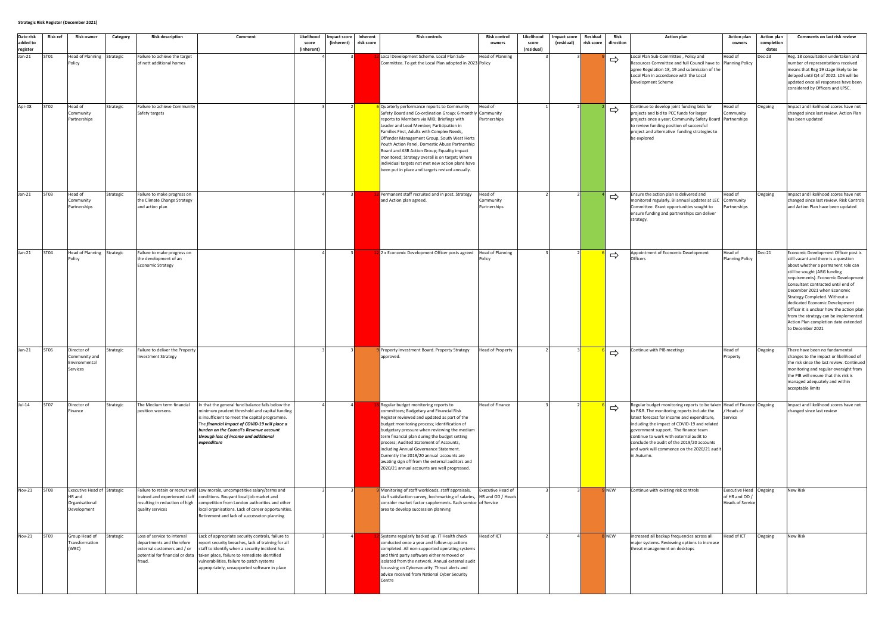| Date risk<br>added to | Risk ref    | <b>Risk owner</b>                                                      | Category  | <b>Risk description</b>                                                                                                              | Comment                                                                                                                                                                                                                                                                                                 | Likelihood<br>score<br>(inherent) | <b>Impact score</b><br>(inherent) | Inherent<br>risk score | <b>Risk controls</b>                                                                                                                                                                                                                                                                                                                                                                                                                                                                                                                                      | <b>Risk control</b><br>owners        | Likelihood<br>score<br>(residual) | Impact score<br>(residual) | Residual<br>risk score | Risk<br>direction | <b>Action plan</b>                                                                                                                                                                                                                                                                                                                                                                                              | <b>Action plan</b><br>owners                                        | <b>Action plan</b><br>completion<br>dates | Comments on last risk review                                                                                                                                                                                                                                                                                                                                                                                                                                                        |
|-----------------------|-------------|------------------------------------------------------------------------|-----------|--------------------------------------------------------------------------------------------------------------------------------------|---------------------------------------------------------------------------------------------------------------------------------------------------------------------------------------------------------------------------------------------------------------------------------------------------------|-----------------------------------|-----------------------------------|------------------------|-----------------------------------------------------------------------------------------------------------------------------------------------------------------------------------------------------------------------------------------------------------------------------------------------------------------------------------------------------------------------------------------------------------------------------------------------------------------------------------------------------------------------------------------------------------|--------------------------------------|-----------------------------------|----------------------------|------------------------|-------------------|-----------------------------------------------------------------------------------------------------------------------------------------------------------------------------------------------------------------------------------------------------------------------------------------------------------------------------------------------------------------------------------------------------------------|---------------------------------------------------------------------|-------------------------------------------|-------------------------------------------------------------------------------------------------------------------------------------------------------------------------------------------------------------------------------------------------------------------------------------------------------------------------------------------------------------------------------------------------------------------------------------------------------------------------------------|
| register<br>$Jan-21$  | ST01        | Head of Planning Strategic<br>Policy                                   |           | Failure to achieve the target<br>of nett additional homes                                                                            |                                                                                                                                                                                                                                                                                                         |                                   |                                   |                        | Local Development Scheme. Local Plan Sub-<br>Committee. To get the Local Plan adopted in 2023 Policy                                                                                                                                                                                                                                                                                                                                                                                                                                                      | Head of Planning                     |                                   |                            |                        | $\Rightarrow$     | Local Plan Sub-Committee, Policy and<br>Resources Committee and full Council have to Planning Policy<br>agree Regulation 18, 19 and submission of the<br>Local Plan in accordance with the Local<br>Development Scheme                                                                                                                                                                                          | Head of                                                             | Dec-23                                    | Reg. 18 consultation undertaken and<br>number of representations received<br>means that Reg 19 stage likely to be<br>delayed until Q4 of 2022. LDS will be<br>updated once all responses have been<br>considered by Officers and LPSC.                                                                                                                                                                                                                                              |
| Apr-08                | <b>ST02</b> | Head of<br>Community<br>Partnerships                                   | Strategic | Failure to achieve Community<br>Safety targets                                                                                       |                                                                                                                                                                                                                                                                                                         |                                   |                                   |                        | Quarterly performance reports to Community<br>Safety Board and Co-ordination Group; 6 monthly Community<br>reports to Members via MIB; Briefings with<br>Leader and Lead Member; Participation in<br>Families First, Adults with Complex Needs,<br>Offender Management Group, South West Herts<br>Youth Action Panel, Domestic Abuse Partnership<br>Board and ASB Action Group; Equality impact<br>monitored; Strategy overall is on target; Where<br>individual targets not met new action plans have<br>been put in place and targets revised annually. | Head of<br>Partnerships              |                                   |                            |                        | ⇨                 | Continue to develop joint funding bids for<br>projects and bid to PCC funds for larger<br>projects once a year; Community Safety Board Partnerships<br>to review funding position of successful<br>project and alternative funding strategies to<br>be explored                                                                                                                                                 | lead of<br>ommunity                                                 | Ongoing                                   | Impact and likelihood scores have not<br>changed since last review. Action Plan<br>has been updated                                                                                                                                                                                                                                                                                                                                                                                 |
| $Jan-21$              | <b>ST03</b> | Head of<br>Community<br>Partnerships                                   | Strategic | Failure to make progress on<br>the Climate Change Strategy<br>and action plan                                                        |                                                                                                                                                                                                                                                                                                         |                                   |                                   |                        | Permanent staff recruited and in post. Strategy<br>and Action plan agreed.                                                                                                                                                                                                                                                                                                                                                                                                                                                                                | Head of<br>Community<br>Partnerships |                                   |                            |                        | $\Rightarrow$     | Ensure the action plan is delivered and<br>monitored regularly. BI annual updates at LEC<br>Committee. Grant opportunities sought to<br>ensure funding and partnerships can deliver<br>strategy.                                                                                                                                                                                                                | Head of<br>Community<br>Partnerships                                | Ongoing                                   | Impact and likelihood scores have not<br>changed since last review. Risk Controls<br>and Action Plan have been updated                                                                                                                                                                                                                                                                                                                                                              |
| $Jan-21$              | ST04        | Head of Planning Strategic<br>Policy                                   |           | Failure to make progress on<br>the development of an<br>Economic Strategy                                                            |                                                                                                                                                                                                                                                                                                         |                                   |                                   |                        | 2 x Economic Development Officer posts agreed                                                                                                                                                                                                                                                                                                                                                                                                                                                                                                             | Head of Planning                     |                                   |                            |                        | $\Rightarrow$     | Appointment of Economic Development<br>Officers                                                                                                                                                                                                                                                                                                                                                                 | Head of<br><b>Planning Policy</b>                                   | Dec-21                                    | Economic Development Officer post is<br>still vacant and there is a question<br>about whether a permanent role can<br>still be sought (ARG funding<br>requirements). Economic Development<br>Consultant contracted until end of<br>December 2021 when Economic<br>Strategy Completed. Without a<br>dedicated Economic Development<br>Officer it is unclear how the action plan<br>from the strategy can be implemented.<br>Action Plan completion date extended<br>to December 2021 |
| $Jan-21$              | ST06        | Director of<br>Community and<br>Environmental<br>ervices               | Strategic | Failure to deliver the Property<br><b>Investment Strategy</b>                                                                        |                                                                                                                                                                                                                                                                                                         |                                   |                                   |                        | Property Investment Board. Property Strategy<br>approved.                                                                                                                                                                                                                                                                                                                                                                                                                                                                                                 | <b>Head of Property</b>              |                                   |                            |                        | $\Rightarrow$     | Continue with PIB meetings                                                                                                                                                                                                                                                                                                                                                                                      | Head of<br>Property                                                 | Ongoing                                   | There have been no fundamental<br>changes to the impact or likelihood of<br>the risk since the last review. Continued<br>monitoring and regular oversight from<br>the PIB will ensure that this risk is<br>managed adequately and within<br>acceptable limits                                                                                                                                                                                                                       |
| $Jul-14$              | <b>ST07</b> | Director of<br>Finance                                                 | Strategic | The Medium term financial<br>position worsens.                                                                                       | In that the general fund balance falls below the<br>minimum prudent threshold and capital funding<br>is insufficient to meet the capital programme.<br>The financial impact of COVID-19 will place a<br>burden on the Council's Revenue account<br>through loss of income and additional<br>expenditure |                                   |                                   |                        | Regular budget monitoring reports to<br>committees; Budgetary and Financial Risk<br>Register reviewed and updated as part of the<br>budget monitoring process; identification of<br>budgetary pressure when reviewing the medium<br>term financial plan during the budget setting<br>process; Audited Statement of Accounts,<br>including Annual Governance Statement.<br>Currently the 2019/20 annual accounts are<br>awating sign off from the external auditors and<br>2020/21 annual accounts are well progressed.                                    | Head of Finance                      |                                   |                            |                        | $\Rightarrow$     | Regular budget monitoring reports to be taken Head of Finance Ongoing<br>to P&R. The monitoring reports include the<br>latest forecast for income and expenditure,<br>including the impact of COVID-19 and related<br>government support. The finance team<br>continue to work with external audit to<br>conclude the audit of the 2019/20 accounts<br>and work will commence on the 2020/21 audi<br>in Autumn. | Heads of<br>iervice                                                 |                                           | Impact and likelihood scores have not<br>changed since last review                                                                                                                                                                                                                                                                                                                                                                                                                  |
| <b>Nov-21</b>         | <b>ST08</b> | Executive Head of Strategic<br>HR and<br>Organisational<br>Development |           | trained and experienced staff<br>resulting in reduction of high<br>quality services                                                  | Failure to retain or recruit well Low morale, uncompetitive salary/terms and<br>conditions. Bouyant local job market and<br>competition from London authorities and other<br>local organisations. Lack of career opportunities.<br>Retirement and lack of successeion planning                          |                                   |                                   |                        | Monitoring of staff workloads, staff appraisals,<br>staff satisfaction survey, bechmarking of salaries, HR and OD / Heads<br>consider market factor supplements. Each service of Service<br>area to develop succession planning                                                                                                                                                                                                                                                                                                                           | Executive Head of                    |                                   |                            |                        | <b>NEW</b>        | Continue with existing risk controls                                                                                                                                                                                                                                                                                                                                                                            | Executive Head Ongoing<br>of HR and OD /<br><b>Heads of Service</b> |                                           | <b>New Risk</b>                                                                                                                                                                                                                                                                                                                                                                                                                                                                     |
| <b>Nov-21</b>         | <b>ST09</b> | Group Head of<br>Transformation<br>(WBC)                               | Strategic | Loss of service to internal<br>departments and therefore<br>external customers and / or<br>potential for financial or data<br>fraud. | Lack of appropriate security controls, failure to<br>report security breaches, lack of training for all<br>staff to identify when a security incident has<br>taken place, failure to remediate identified<br>vulnerabilities, failure to patch systems<br>appropriately, unsupported software in place  |                                   |                                   |                        | Systems regularly backed up. IT Health check<br>conducted once a year and follow-up actions<br>completed. All non-supported operating systems<br>and third party software either removed or<br>isolated from the network. Annual external audit<br>focussing on Cybersecurity. Threat alerts and<br>advice received from National Cyber Security<br>Centre                                                                                                                                                                                                | Head of ICT                          |                                   |                            |                        | <b>NEW</b>        | increased all backup frequencies across all<br>major systems. Reviewing options to increase<br>threat management on desktops                                                                                                                                                                                                                                                                                    | Head of ICT                                                         | Ongoing                                   | New Risk                                                                                                                                                                                                                                                                                                                                                                                                                                                                            |